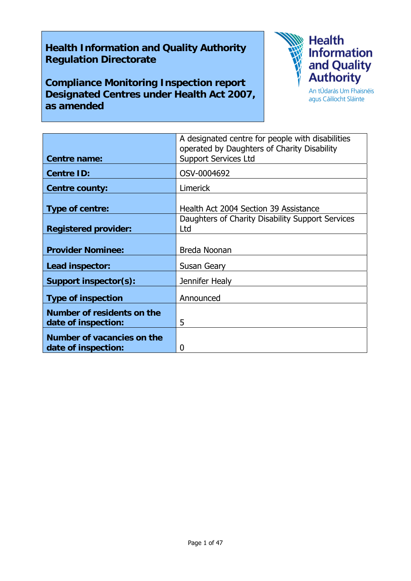## **Health Information and Quality Authority Regulation Directorate**

**Compliance Monitoring Inspection report Designated Centres under Health Act 2007, as amended** 



agus Cáilíocht Sláinte

|                             | A designated centre for people with disabilities<br>operated by Daughters of Charity Disability |
|-----------------------------|-------------------------------------------------------------------------------------------------|
| Centre name:                | <b>Support Services Ltd</b>                                                                     |
| <b>Centre ID:</b>           | OSV-0004692                                                                                     |
| <b>Centre county:</b>       | <b>Limerick</b>                                                                                 |
| Type of centre:             | Health Act 2004 Section 39 Assistance                                                           |
| <b>Registered provider:</b> | Daughters of Charity Disability Support Services<br>Ltd                                         |
| <b>Provider Nominee:</b>    | Breda Noonan                                                                                    |
| Lead inspector:             | Susan Geary                                                                                     |
| Support inspector(s):       | Jennifer Healy                                                                                  |
| <b>Type of inspection</b>   | Announced                                                                                       |
| Number of residents on the  |                                                                                                 |
| date of inspection:         | 5                                                                                               |
| Number of vacancies on the  |                                                                                                 |
| date of inspection:         | 0                                                                                               |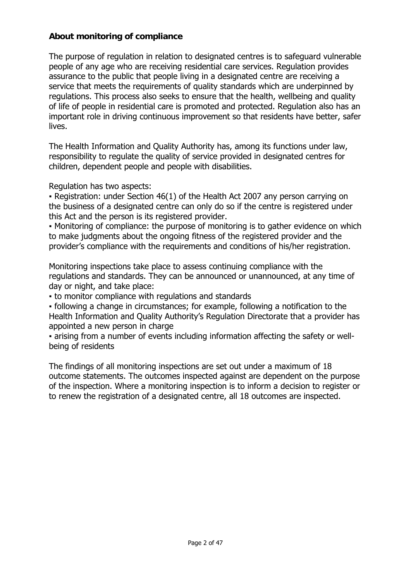#### **About monitoring of compliance**

The purpose of regulation in relation to designated centres is to safeguard vulnerable people of any age who are receiving residential care services. Regulation provides assurance to the public that people living in a designated centre are receiving a service that meets the requirements of quality standards which are underpinned by regulations. This process also seeks to ensure that the health, wellbeing and quality of life of people in residential care is promoted and protected. Regulation also has an important role in driving continuous improvement so that residents have better, safer lives.

The Health Information and Quality Authority has, among its functions under law, responsibility to regulate the quality of service provided in designated centres for children, dependent people and people with disabilities.

Regulation has two aspects:

• Registration: under Section 46(1) of the Health Act 2007 any person carrying on the business of a designated centre can only do so if the centre is registered under this Act and the person is its registered provider.

▪ Monitoring of compliance: the purpose of monitoring is to gather evidence on which to make judgments about the ongoing fitness of the registered provider and the provider's compliance with the requirements and conditions of his/her registration.

Monitoring inspections take place to assess continuing compliance with the regulations and standards. They can be announced or unannounced, at any time of day or night, and take place:

▪ to monitor compliance with regulations and standards

▪ following a change in circumstances; for example, following a notification to the Health Information and Quality Authority's Regulation Directorate that a provider has appointed a new person in charge

▪ arising from a number of events including information affecting the safety or wellbeing of residents

The findings of all monitoring inspections are set out under a maximum of 18 outcome statements. The outcomes inspected against are dependent on the purpose of the inspection. Where a monitoring inspection is to inform a decision to register or to renew the registration of a designated centre, all 18 outcomes are inspected.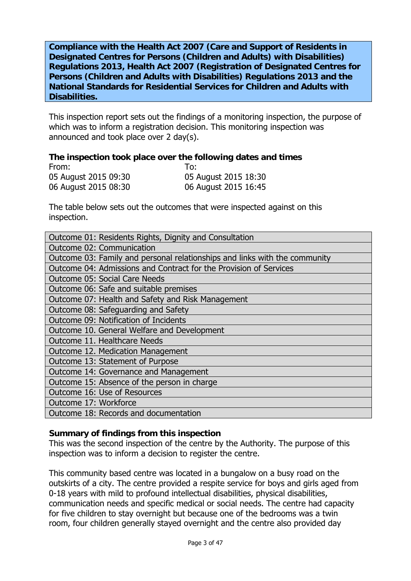**Compliance with the Health Act 2007 (Care and Support of Residents in Designated Centres for Persons (Children and Adults) with Disabilities) Regulations 2013, Health Act 2007 (Registration of Designated Centres for Persons (Children and Adults with Disabilities) Regulations 2013 and the National Standards for Residential Services for Children and Adults with Disabilities.**

This inspection report sets out the findings of a monitoring inspection, the purpose of which was to inform a registration decision. This monitoring inspection was announced and took place over 2 day(s).

#### **The inspection took place over the following dates and times**

| From:                | To:                  |
|----------------------|----------------------|
| 05 August 2015 09:30 | 05 August 2015 18:30 |
| 06 August 2015 08:30 | 06 August 2015 16:45 |

The table below sets out the outcomes that were inspected against on this inspection.

| Outcome 01: Residents Rights, Dignity and Consultation                     |  |  |
|----------------------------------------------------------------------------|--|--|
| Outcome 02: Communication                                                  |  |  |
| Outcome 03: Family and personal relationships and links with the community |  |  |
| Outcome 04: Admissions and Contract for the Provision of Services          |  |  |
| <b>Outcome 05: Social Care Needs</b>                                       |  |  |
| Outcome 06: Safe and suitable premises                                     |  |  |
| Outcome 07: Health and Safety and Risk Management                          |  |  |
| Outcome 08: Safeguarding and Safety                                        |  |  |
| Outcome 09: Notification of Incidents                                      |  |  |
| Outcome 10. General Welfare and Development                                |  |  |
| Outcome 11. Healthcare Needs                                               |  |  |
| Outcome 12. Medication Management                                          |  |  |
| Outcome 13: Statement of Purpose                                           |  |  |
| Outcome 14: Governance and Management                                      |  |  |
| Outcome 15: Absence of the person in charge                                |  |  |
| Outcome 16: Use of Resources                                               |  |  |
| Outcome 17: Workforce                                                      |  |  |
| Outcome 18: Records and documentation                                      |  |  |

#### **Summary of findings from this inspection**

This was the second inspection of the centre by the Authority. The purpose of this inspection was to inform a decision to register the centre.

This community based centre was located in a bungalow on a busy road on the outskirts of a city. The centre provided a respite service for boys and girls aged from 0-18 years with mild to profound intellectual disabilities, physical disabilities, communication needs and specific medical or social needs. The centre had capacity for five children to stay overnight but because one of the bedrooms was a twin room, four children generally stayed overnight and the centre also provided day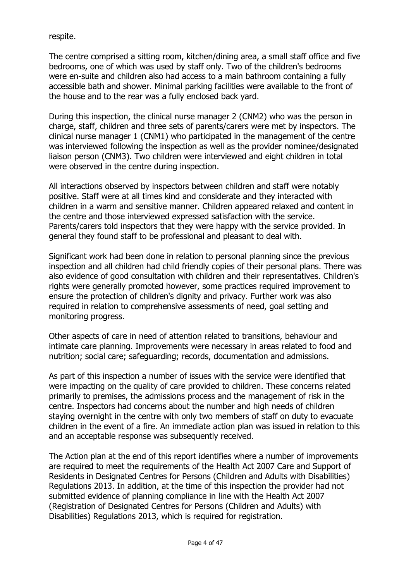respite.

The centre comprised a sitting room, kitchen/dining area, a small staff office and five bedrooms, one of which was used by staff only. Two of the children's bedrooms were en-suite and children also had access to a main bathroom containing a fully accessible bath and shower. Minimal parking facilities were available to the front of the house and to the rear was a fully enclosed back yard.

During this inspection, the clinical nurse manager 2 (CNM2) who was the person in charge, staff, children and three sets of parents/carers were met by inspectors. The clinical nurse manager 1 (CNM1) who participated in the management of the centre was interviewed following the inspection as well as the provider nominee/designated liaison person (CNM3). Two children were interviewed and eight children in total were observed in the centre during inspection.

All interactions observed by inspectors between children and staff were notably positive. Staff were at all times kind and considerate and they interacted with children in a warm and sensitive manner. Children appeared relaxed and content in the centre and those interviewed expressed satisfaction with the service. Parents/carers told inspectors that they were happy with the service provided. In general they found staff to be professional and pleasant to deal with.

Significant work had been done in relation to personal planning since the previous inspection and all children had child friendly copies of their personal plans. There was also evidence of good consultation with children and their representatives. Children's rights were generally promoted however, some practices required improvement to ensure the protection of children's dignity and privacy. Further work was also required in relation to comprehensive assessments of need, goal setting and monitoring progress.

Other aspects of care in need of attention related to transitions, behaviour and intimate care planning. Improvements were necessary in areas related to food and nutrition; social care; safeguarding; records, documentation and admissions.

As part of this inspection a number of issues with the service were identified that were impacting on the quality of care provided to children. These concerns related primarily to premises, the admissions process and the management of risk in the centre. Inspectors had concerns about the number and high needs of children staying overnight in the centre with only two members of staff on duty to evacuate children in the event of a fire. An immediate action plan was issued in relation to this and an acceptable response was subsequently received.

The Action plan at the end of this report identifies where a number of improvements are required to meet the requirements of the Health Act 2007 Care and Support of Residents in Designated Centres for Persons (Children and Adults with Disabilities) Regulations 2013. In addition, at the time of this inspection the provider had not submitted evidence of planning compliance in line with the Health Act 2007 (Registration of Designated Centres for Persons (Children and Adults) with Disabilities) Regulations 2013, which is required for registration.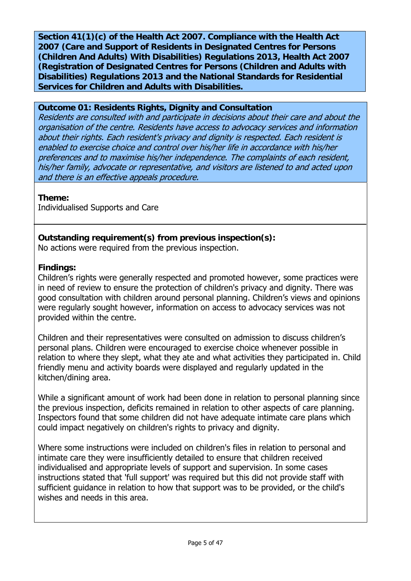**Section 41(1)(c) of the Health Act 2007. Compliance with the Health Act 2007 (Care and Support of Residents in Designated Centres for Persons (Children And Adults) With Disabilities) Regulations 2013, Health Act 2007 (Registration of Designated Centres for Persons (Children and Adults with Disabilities) Regulations 2013 and the National Standards for Residential Services for Children and Adults with Disabilities.** 

#### **Outcome 01: Residents Rights, Dignity and Consultation**

Residents are consulted with and participate in decisions about their care and about the organisation of the centre. Residents have access to advocacy services and information about their rights. Each resident's privacy and dignity is respected. Each resident is enabled to exercise choice and control over his/her life in accordance with his/her preferences and to maximise his/her independence. The complaints of each resident, his/her family, advocate or representative, and visitors are listened to and acted upon and there is an effective appeals procedure.

**Theme:** 

Individualised Supports and Care

## **Outstanding requirement(s) from previous inspection(s):**

No actions were required from the previous inspection.

## **Findings:**

Children's rights were generally respected and promoted however, some practices were in need of review to ensure the protection of children's privacy and dignity. There was good consultation with children around personal planning. Children's views and opinions were regularly sought however, information on access to advocacy services was not provided within the centre.

Children and their representatives were consulted on admission to discuss children's personal plans. Children were encouraged to exercise choice whenever possible in relation to where they slept, what they ate and what activities they participated in. Child friendly menu and activity boards were displayed and regularly updated in the kitchen/dining area.

While a significant amount of work had been done in relation to personal planning since the previous inspection, deficits remained in relation to other aspects of care planning. Inspectors found that some children did not have adequate intimate care plans which could impact negatively on children's rights to privacy and dignity.

Where some instructions were included on children's files in relation to personal and intimate care they were insufficiently detailed to ensure that children received individualised and appropriate levels of support and supervision. In some cases instructions stated that 'full support' was required but this did not provide staff with sufficient guidance in relation to how that support was to be provided, or the child's wishes and needs in this area.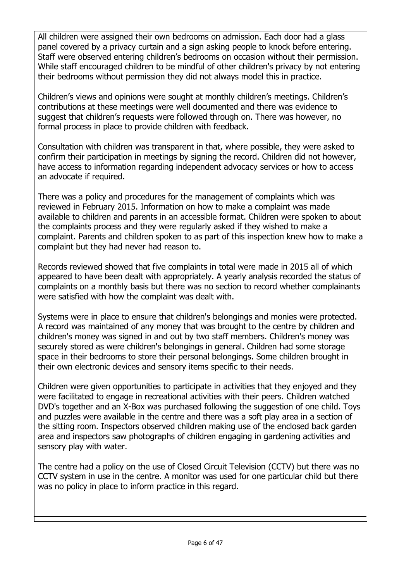All children were assigned their own bedrooms on admission. Each door had a glass panel covered by a privacy curtain and a sign asking people to knock before entering. Staff were observed entering children's bedrooms on occasion without their permission. While staff encouraged children to be mindful of other children's privacy by not entering their bedrooms without permission they did not always model this in practice.

Children's views and opinions were sought at monthly children's meetings. Children's contributions at these meetings were well documented and there was evidence to suggest that children's requests were followed through on. There was however, no formal process in place to provide children with feedback.

Consultation with children was transparent in that, where possible, they were asked to confirm their participation in meetings by signing the record. Children did not however, have access to information regarding independent advocacy services or how to access an advocate if required.

There was a policy and procedures for the management of complaints which was reviewed in February 2015. Information on how to make a complaint was made available to children and parents in an accessible format. Children were spoken to about the complaints process and they were regularly asked if they wished to make a complaint. Parents and children spoken to as part of this inspection knew how to make a complaint but they had never had reason to.

Records reviewed showed that five complaints in total were made in 2015 all of which appeared to have been dealt with appropriately. A yearly analysis recorded the status of complaints on a monthly basis but there was no section to record whether complainants were satisfied with how the complaint was dealt with.

Systems were in place to ensure that children's belongings and monies were protected. A record was maintained of any money that was brought to the centre by children and children's money was signed in and out by two staff members. Children's money was securely stored as were children's belongings in general. Children had some storage space in their bedrooms to store their personal belongings. Some children brought in their own electronic devices and sensory items specific to their needs.

Children were given opportunities to participate in activities that they enjoyed and they were facilitated to engage in recreational activities with their peers. Children watched DVD's together and an X-Box was purchased following the suggestion of one child. Toys and puzzles were available in the centre and there was a soft play area in a section of the sitting room. Inspectors observed children making use of the enclosed back garden area and inspectors saw photographs of children engaging in gardening activities and sensory play with water.

The centre had a policy on the use of Closed Circuit Television (CCTV) but there was no CCTV system in use in the centre. A monitor was used for one particular child but there was no policy in place to inform practice in this regard.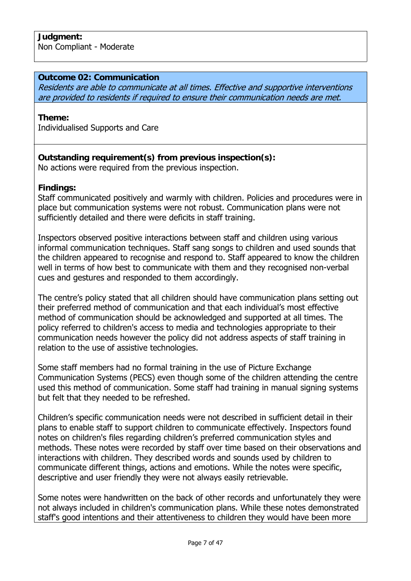#### **Outcome 02: Communication**

Residents are able to communicate at all times. Effective and supportive interventions are provided to residents if required to ensure their communication needs are met.

#### **Theme:**

Individualised Supports and Care

#### **Outstanding requirement(s) from previous inspection(s):** No actions were required from the previous inspection.

**Findings:** 

Staff communicated positively and warmly with children. Policies and procedures were in place but communication systems were not robust. Communication plans were not sufficiently detailed and there were deficits in staff training.

Inspectors observed positive interactions between staff and children using various informal communication techniques. Staff sang songs to children and used sounds that the children appeared to recognise and respond to. Staff appeared to know the children well in terms of how best to communicate with them and they recognised non-verbal cues and gestures and responded to them accordingly.

The centre's policy stated that all children should have communication plans setting out their preferred method of communication and that each individual's most effective method of communication should be acknowledged and supported at all times. The policy referred to children's access to media and technologies appropriate to their communication needs however the policy did not address aspects of staff training in relation to the use of assistive technologies.

Some staff members had no formal training in the use of Picture Exchange Communication Systems (PECS) even though some of the children attending the centre used this method of communication. Some staff had training in manual signing systems but felt that they needed to be refreshed.

Children's specific communication needs were not described in sufficient detail in their plans to enable staff to support children to communicate effectively. Inspectors found notes on children's files regarding children's preferred communication styles and methods. These notes were recorded by staff over time based on their observations and interactions with children. They described words and sounds used by children to communicate different things, actions and emotions. While the notes were specific, descriptive and user friendly they were not always easily retrievable.

Some notes were handwritten on the back of other records and unfortunately they were not always included in children's communication plans. While these notes demonstrated staff's good intentions and their attentiveness to children they would have been more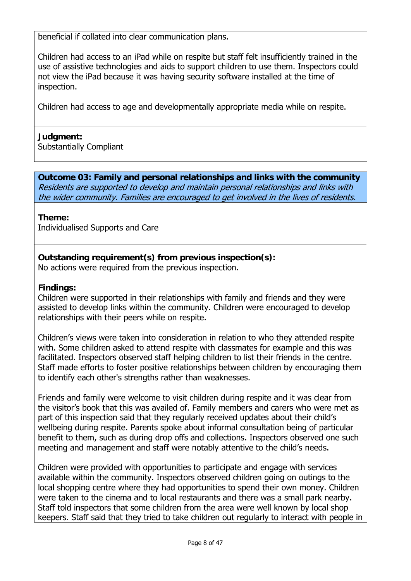beneficial if collated into clear communication plans.

Children had access to an iPad while on respite but staff felt insufficiently trained in the use of assistive technologies and aids to support children to use them. Inspectors could not view the iPad because it was having security software installed at the time of inspection.

Children had access to age and developmentally appropriate media while on respite.

#### **Judgment:**

Substantially Compliant

**Outcome 03: Family and personal relationships and links with the community**  Residents are supported to develop and maintain personal relationships and links with the wider community. Families are encouraged to get involved in the lives of residents.

#### **Theme:**

Individualised Supports and Care

## **Outstanding requirement(s) from previous inspection(s):**

No actions were required from the previous inspection.

#### **Findings:**

Children were supported in their relationships with family and friends and they were assisted to develop links within the community. Children were encouraged to develop relationships with their peers while on respite.

Children's views were taken into consideration in relation to who they attended respite with. Some children asked to attend respite with classmates for example and this was facilitated. Inspectors observed staff helping children to list their friends in the centre. Staff made efforts to foster positive relationships between children by encouraging them to identify each other's strengths rather than weaknesses.

Friends and family were welcome to visit children during respite and it was clear from the visitor's book that this was availed of. Family members and carers who were met as part of this inspection said that they regularly received updates about their child's wellbeing during respite. Parents spoke about informal consultation being of particular benefit to them, such as during drop offs and collections. Inspectors observed one such meeting and management and staff were notably attentive to the child's needs.

Children were provided with opportunities to participate and engage with services available within the community. Inspectors observed children going on outings to the local shopping centre where they had opportunities to spend their own money. Children were taken to the cinema and to local restaurants and there was a small park nearby. Staff told inspectors that some children from the area were well known by local shop keepers. Staff said that they tried to take children out regularly to interact with people in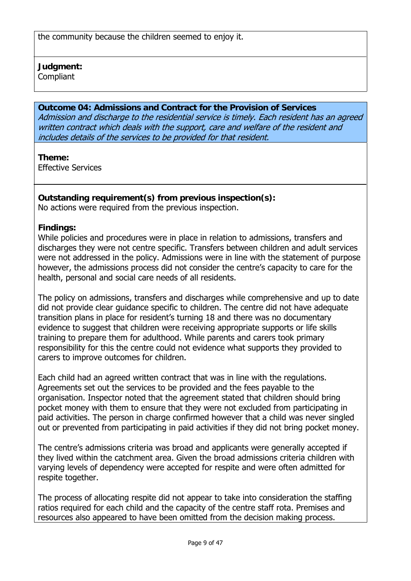## **Judgment:**

Compliant

## **Outcome 04: Admissions and Contract for the Provision of Services**

Admission and discharge to the residential service is timely. Each resident has an agreed written contract which deals with the support, care and welfare of the resident and includes details of the services to be provided for that resident.

## **Theme:**

Effective Services

# **Outstanding requirement(s) from previous inspection(s):**

No actions were required from the previous inspection.

## **Findings:**

While policies and procedures were in place in relation to admissions, transfers and discharges they were not centre specific. Transfers between children and adult services were not addressed in the policy. Admissions were in line with the statement of purpose however, the admissions process did not consider the centre's capacity to care for the health, personal and social care needs of all residents.

The policy on admissions, transfers and discharges while comprehensive and up to date did not provide clear guidance specific to children. The centre did not have adequate transition plans in place for resident's turning 18 and there was no documentary evidence to suggest that children were receiving appropriate supports or life skills training to prepare them for adulthood. While parents and carers took primary responsibility for this the centre could not evidence what supports they provided to carers to improve outcomes for children.

Each child had an agreed written contract that was in line with the regulations. Agreements set out the services to be provided and the fees payable to the organisation. Inspector noted that the agreement stated that children should bring pocket money with them to ensure that they were not excluded from participating in paid activities. The person in charge confirmed however that a child was never singled out or prevented from participating in paid activities if they did not bring pocket money.

The centre's admissions criteria was broad and applicants were generally accepted if they lived within the catchment area. Given the broad admissions criteria children with varying levels of dependency were accepted for respite and were often admitted for respite together.

The process of allocating respite did not appear to take into consideration the staffing ratios required for each child and the capacity of the centre staff rota. Premises and resources also appeared to have been omitted from the decision making process.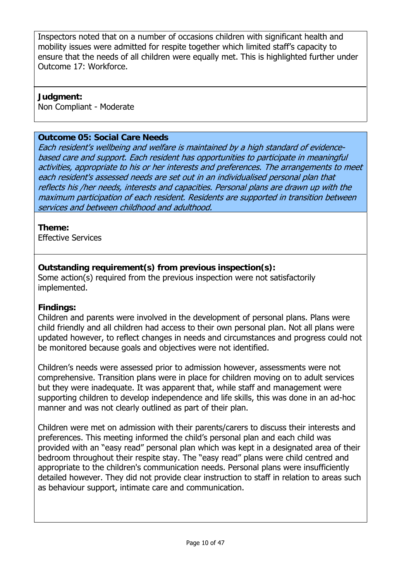Inspectors noted that on a number of occasions children with significant health and mobility issues were admitted for respite together which limited staff's capacity to ensure that the needs of all children were equally met. This is highlighted further under Outcome 17: Workforce.

#### **Judgment:**

Non Compliant - Moderate

## **Outcome 05: Social Care Needs**

Each resident's wellbeing and welfare is maintained by a high standard of evidencebased care and support. Each resident has opportunities to participate in meaningful activities, appropriate to his or her interests and preferences. The arrangements to meet each resident's assessed needs are set out in an individualised personal plan that reflects his /her needs, interests and capacities. Personal plans are drawn up with the maximum participation of each resident. Residents are supported in transition between services and between childhood and adulthood.

## **Theme:**

Effective Services

## **Outstanding requirement(s) from previous inspection(s):**

Some action(s) required from the previous inspection were not satisfactorily implemented.

## **Findings:**

Children and parents were involved in the development of personal plans. Plans were child friendly and all children had access to their own personal plan. Not all plans were updated however, to reflect changes in needs and circumstances and progress could not be monitored because goals and objectives were not identified.

Children's needs were assessed prior to admission however, assessments were not comprehensive. Transition plans were in place for children moving on to adult services but they were inadequate. It was apparent that, while staff and management were supporting children to develop independence and life skills, this was done in an ad-hoc manner and was not clearly outlined as part of their plan.

Children were met on admission with their parents/carers to discuss their interests and preferences. This meeting informed the child's personal plan and each child was provided with an "easy read" personal plan which was kept in a designated area of their bedroom throughout their respite stay. The "easy read" plans were child centred and appropriate to the children's communication needs. Personal plans were insufficiently detailed however. They did not provide clear instruction to staff in relation to areas such as behaviour support, intimate care and communication.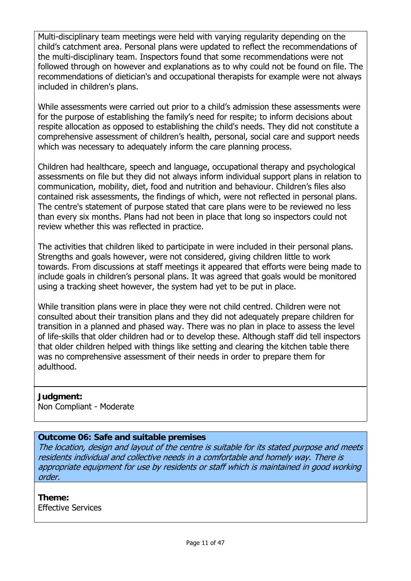Multi-disciplinary team meetings were held with varying regularity depending on the child's catchment area. Personal plans were updated to reflect the recommendations of the multi-disciplinary team. Inspectors found that some recommendations were not followed through on however and explanations as to why could not be found on file. The recommendations of dietician's and occupational therapists for example were not always included in children's plans.

While assessments were carried out prior to a child's admission these assessments were for the purpose of establishing the family's need for respite; to inform decisions about respite allocation as opposed to establishing the child's needs. They did not constitute a comprehensive assessment of children's health, personal, social care and support needs which was necessary to adequately inform the care planning process.

Children had healthcare, speech and language, occupational therapy and psychological assessments on file but they did not always inform individual support plans in relation to communication, mobility, diet, food and nutrition and behaviour. Children's files also contained risk assessments, the findings of which, were not reflected in personal plans. The centre's statement of purpose stated that care plans were to be reviewed no less than every six months. Plans had not been in place that long so inspectors could not review whether this was reflected in practice.

The activities that children liked to participate in were included in their personal plans. Strengths and goals however, were not considered, giving children little to work towards. From discussions at staff meetings it appeared that efforts were being made to include goals in children's personal plans. It was agreed that goals would be monitored using a tracking sheet however, the system had yet to be put in place.

While transition plans were in place they were not child centred. Children were not consulted about their transition plans and they did not adequately prepare children for transition in a planned and phased way. There was no plan in place to assess the level of life-skills that older children had or to develop these. Although staff did tell inspectors that older children helped with things like setting and clearing the kitchen table there was no comprehensive assessment of their needs in order to prepare them for adulthood.

## **Judgment:**

Non Compliant - Moderate

## **Outcome 06: Safe and suitable premises**

The location, design and layout of the centre is suitable for its stated purpose and meets residents individual and collective needs in a comfortable and homely way. There is appropriate equipment for use by residents or staff which is maintained in good working order.

#### **Theme:**  Effective Services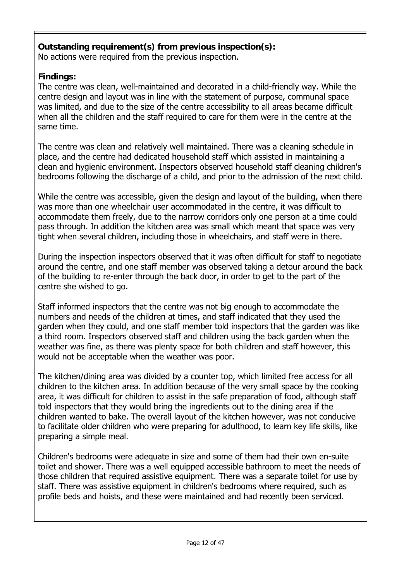#### **Outstanding requirement(s) from previous inspection(s):** No actions were required from the previous inspection.

## **Findings:**

The centre was clean, well-maintained and decorated in a child-friendly way. While the centre design and layout was in line with the statement of purpose, communal space was limited, and due to the size of the centre accessibility to all areas became difficult when all the children and the staff required to care for them were in the centre at the same time.

The centre was clean and relatively well maintained. There was a cleaning schedule in place, and the centre had dedicated household staff which assisted in maintaining a clean and hygienic environment. Inspectors observed household staff cleaning children's bedrooms following the discharge of a child, and prior to the admission of the next child.

While the centre was accessible, given the design and layout of the building, when there was more than one wheelchair user accommodated in the centre, it was difficult to accommodate them freely, due to the narrow corridors only one person at a time could pass through. In addition the kitchen area was small which meant that space was very tight when several children, including those in wheelchairs, and staff were in there.

During the inspection inspectors observed that it was often difficult for staff to negotiate around the centre, and one staff member was observed taking a detour around the back of the building to re-enter through the back door, in order to get to the part of the centre she wished to go.

Staff informed inspectors that the centre was not big enough to accommodate the numbers and needs of the children at times, and staff indicated that they used the garden when they could, and one staff member told inspectors that the garden was like a third room. Inspectors observed staff and children using the back garden when the weather was fine, as there was plenty space for both children and staff however, this would not be acceptable when the weather was poor.

The kitchen/dining area was divided by a counter top, which limited free access for all children to the kitchen area. In addition because of the very small space by the cooking area, it was difficult for children to assist in the safe preparation of food, although staff told inspectors that they would bring the ingredients out to the dining area if the children wanted to bake. The overall layout of the kitchen however, was not conducive to facilitate older children who were preparing for adulthood, to learn key life skills, like preparing a simple meal.

Children's bedrooms were adequate in size and some of them had their own en-suite toilet and shower. There was a well equipped accessible bathroom to meet the needs of those children that required assistive equipment. There was a separate toilet for use by staff. There was assistive equipment in children's bedrooms where required, such as profile beds and hoists, and these were maintained and had recently been serviced.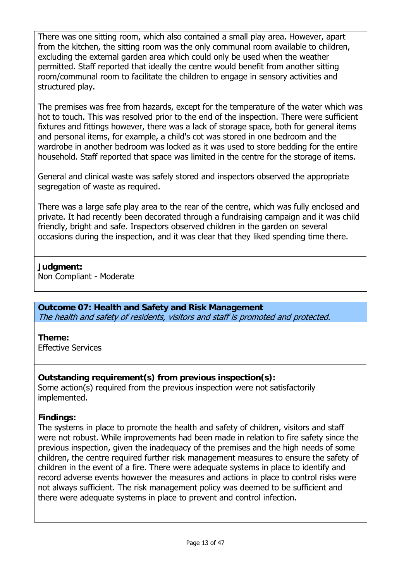There was one sitting room, which also contained a small play area. However, apart from the kitchen, the sitting room was the only communal room available to children, excluding the external garden area which could only be used when the weather permitted. Staff reported that ideally the centre would benefit from another sitting room/communal room to facilitate the children to engage in sensory activities and structured play.

The premises was free from hazards, except for the temperature of the water which was hot to touch. This was resolved prior to the end of the inspection. There were sufficient fixtures and fittings however, there was a lack of storage space, both for general items and personal items, for example, a child's cot was stored in one bedroom and the wardrobe in another bedroom was locked as it was used to store bedding for the entire household. Staff reported that space was limited in the centre for the storage of items.

General and clinical waste was safely stored and inspectors observed the appropriate segregation of waste as required.

There was a large safe play area to the rear of the centre, which was fully enclosed and private. It had recently been decorated through a fundraising campaign and it was child friendly, bright and safe. Inspectors observed children in the garden on several occasions during the inspection, and it was clear that they liked spending time there.

#### **Judgment:**

Non Compliant - Moderate

**Outcome 07: Health and Safety and Risk Management**  The health and safety of residents, visitors and staff is promoted and protected.

## **Theme:**

Effective Services

## **Outstanding requirement(s) from previous inspection(s):**

Some action(s) required from the previous inspection were not satisfactorily implemented.

## **Findings:**

The systems in place to promote the health and safety of children, visitors and staff were not robust. While improvements had been made in relation to fire safety since the previous inspection, given the inadequacy of the premises and the high needs of some children, the centre required further risk management measures to ensure the safety of children in the event of a fire. There were adequate systems in place to identify and record adverse events however the measures and actions in place to control risks were not always sufficient. The risk management policy was deemed to be sufficient and there were adequate systems in place to prevent and control infection.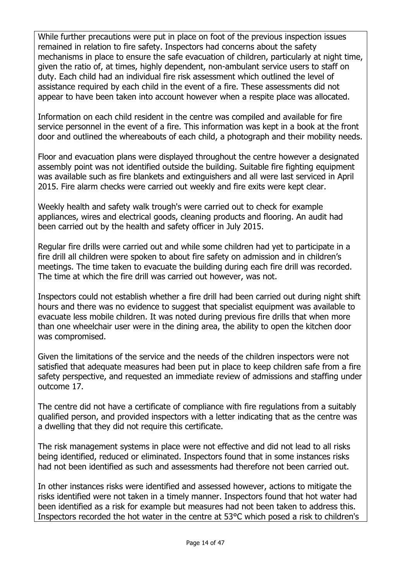While further precautions were put in place on foot of the previous inspection issues remained in relation to fire safety. Inspectors had concerns about the safety mechanisms in place to ensure the safe evacuation of children, particularly at night time, given the ratio of, at times, highly dependent, non-ambulant service users to staff on duty. Each child had an individual fire risk assessment which outlined the level of assistance required by each child in the event of a fire. These assessments did not appear to have been taken into account however when a respite place was allocated.

Information on each child resident in the centre was compiled and available for fire service personnel in the event of a fire. This information was kept in a book at the front door and outlined the whereabouts of each child, a photograph and their mobility needs.

Floor and evacuation plans were displayed throughout the centre however a designated assembly point was not identified outside the building. Suitable fire fighting equipment was available such as fire blankets and extinguishers and all were last serviced in April 2015. Fire alarm checks were carried out weekly and fire exits were kept clear.

Weekly health and safety walk trough's were carried out to check for example appliances, wires and electrical goods, cleaning products and flooring. An audit had been carried out by the health and safety officer in July 2015.

Regular fire drills were carried out and while some children had yet to participate in a fire drill all children were spoken to about fire safety on admission and in children's meetings. The time taken to evacuate the building during each fire drill was recorded. The time at which the fire drill was carried out however, was not.

Inspectors could not establish whether a fire drill had been carried out during night shift hours and there was no evidence to suggest that specialist equipment was available to evacuate less mobile children. It was noted during previous fire drills that when more than one wheelchair user were in the dining area, the ability to open the kitchen door was compromised.

Given the limitations of the service and the needs of the children inspectors were not satisfied that adequate measures had been put in place to keep children safe from a fire safety perspective, and requested an immediate review of admissions and staffing under outcome 17.

The centre did not have a certificate of compliance with fire regulations from a suitably qualified person, and provided inspectors with a letter indicating that as the centre was a dwelling that they did not require this certificate.

The risk management systems in place were not effective and did not lead to all risks being identified, reduced or eliminated. Inspectors found that in some instances risks had not been identified as such and assessments had therefore not been carried out.

In other instances risks were identified and assessed however, actions to mitigate the risks identified were not taken in a timely manner. Inspectors found that hot water had been identified as a risk for example but measures had not been taken to address this. Inspectors recorded the hot water in the centre at 53°C which posed a risk to children's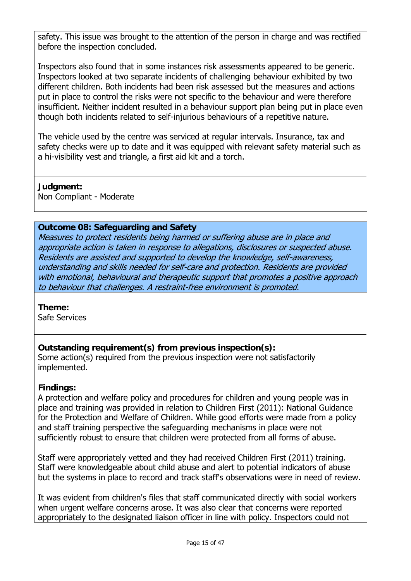safety. This issue was brought to the attention of the person in charge and was rectified before the inspection concluded.

Inspectors also found that in some instances risk assessments appeared to be generic. Inspectors looked at two separate incidents of challenging behaviour exhibited by two different children. Both incidents had been risk assessed but the measures and actions put in place to control the risks were not specific to the behaviour and were therefore insufficient. Neither incident resulted in a behaviour support plan being put in place even though both incidents related to self-injurious behaviours of a repetitive nature.

The vehicle used by the centre was serviced at regular intervals. Insurance, tax and safety checks were up to date and it was equipped with relevant safety material such as a hi-visibility vest and triangle, a first aid kit and a torch.

#### **Judgment:**

Non Compliant - Moderate

#### **Outcome 08: Safeguarding and Safety**

Measures to protect residents being harmed or suffering abuse are in place and appropriate action is taken in response to allegations, disclosures or suspected abuse. Residents are assisted and supported to develop the knowledge, self-awareness, understanding and skills needed for self-care and protection. Residents are provided with emotional, behavioural and therapeutic support that promotes a positive approach to behaviour that challenges. A restraint-free environment is promoted.

#### **Theme:**

Safe Services

## **Outstanding requirement(s) from previous inspection(s):**

Some action(s) required from the previous inspection were not satisfactorily implemented.

#### **Findings:**

A protection and welfare policy and procedures for children and young people was in place and training was provided in relation to Children First (2011): National Guidance for the Protection and Welfare of Children. While good efforts were made from a policy and staff training perspective the safeguarding mechanisms in place were not sufficiently robust to ensure that children were protected from all forms of abuse.

Staff were appropriately vetted and they had received Children First (2011) training. Staff were knowledgeable about child abuse and alert to potential indicators of abuse but the systems in place to record and track staff's observations were in need of review.

It was evident from children's files that staff communicated directly with social workers when urgent welfare concerns arose. It was also clear that concerns were reported appropriately to the designated liaison officer in line with policy. Inspectors could not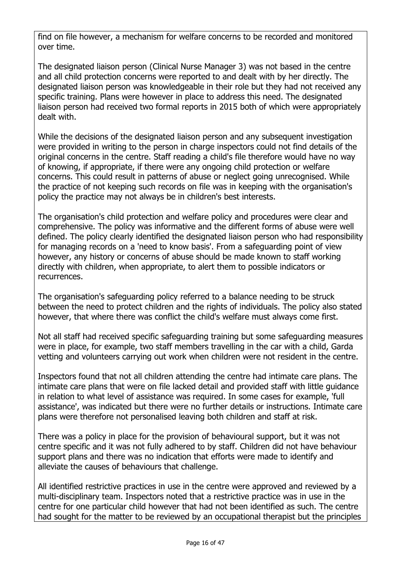find on file however, a mechanism for welfare concerns to be recorded and monitored over time.

The designated liaison person (Clinical Nurse Manager 3) was not based in the centre and all child protection concerns were reported to and dealt with by her directly. The designated liaison person was knowledgeable in their role but they had not received any specific training. Plans were however in place to address this need. The designated liaison person had received two formal reports in 2015 both of which were appropriately dealt with.

While the decisions of the designated liaison person and any subsequent investigation were provided in writing to the person in charge inspectors could not find details of the original concerns in the centre. Staff reading a child's file therefore would have no way of knowing, if appropriate, if there were any ongoing child protection or welfare concerns. This could result in patterns of abuse or neglect going unrecognised. While the practice of not keeping such records on file was in keeping with the organisation's policy the practice may not always be in children's best interests.

The organisation's child protection and welfare policy and procedures were clear and comprehensive. The policy was informative and the different forms of abuse were well defined. The policy clearly identified the designated liaison person who had responsibility for managing records on a 'need to know basis'. From a safeguarding point of view however, any history or concerns of abuse should be made known to staff working directly with children, when appropriate, to alert them to possible indicators or recurrences.

The organisation's safeguarding policy referred to a balance needing to be struck between the need to protect children and the rights of individuals. The policy also stated however, that where there was conflict the child's welfare must always come first.

Not all staff had received specific safeguarding training but some safeguarding measures were in place, for example, two staff members travelling in the car with a child, Garda vetting and volunteers carrying out work when children were not resident in the centre.

Inspectors found that not all children attending the centre had intimate care plans. The intimate care plans that were on file lacked detail and provided staff with little guidance in relation to what level of assistance was required. In some cases for example, 'full assistance', was indicated but there were no further details or instructions. Intimate care plans were therefore not personalised leaving both children and staff at risk.

There was a policy in place for the provision of behavioural support, but it was not centre specific and it was not fully adhered to by staff. Children did not have behaviour support plans and there was no indication that efforts were made to identify and alleviate the causes of behaviours that challenge.

All identified restrictive practices in use in the centre were approved and reviewed by a multi-disciplinary team. Inspectors noted that a restrictive practice was in use in the centre for one particular child however that had not been identified as such. The centre had sought for the matter to be reviewed by an occupational therapist but the principles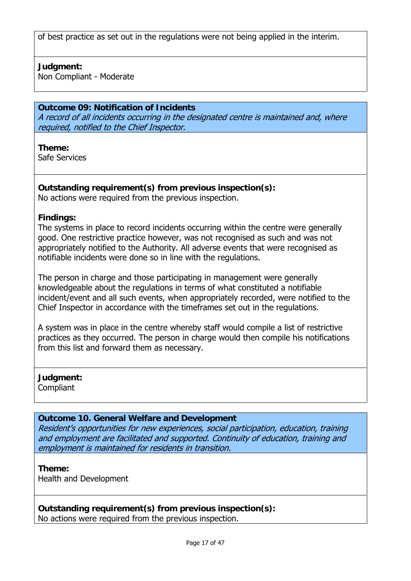of best practice as set out in the regulations were not being applied in the interim.

#### **Judgment:**

Non Compliant - Moderate

## **Outcome 09: Notification of Incidents**

A record of all incidents occurring in the designated centre is maintained and, where required, notified to the Chief Inspector.

**Theme:**  Safe Services

**Outstanding requirement(s) from previous inspection(s):** No actions were required from the previous inspection.

#### **Findings:**

The systems in place to record incidents occurring within the centre were generally good. One restrictive practice however, was not recognised as such and was not appropriately notified to the Authority. All adverse events that were recognised as notifiable incidents were done so in line with the regulations.

The person in charge and those participating in management were generally knowledgeable about the regulations in terms of what constituted a notifiable incident/event and all such events, when appropriately recorded, were notified to the Chief Inspector in accordance with the timeframes set out in the regulations.

A system was in place in the centre whereby staff would compile a list of restrictive practices as they occurred. The person in charge would then compile his notifications from this list and forward them as necessary.

**Judgment:** Compliant

#### **Outcome 10. General Welfare and Development**

Resident's opportunities for new experiences, social participation, education, training and employment are facilitated and supported. Continuity of education, training and employment is maintained for residents in transition.

#### **Theme:**

Health and Development

**Outstanding requirement(s) from previous inspection(s):** No actions were required from the previous inspection.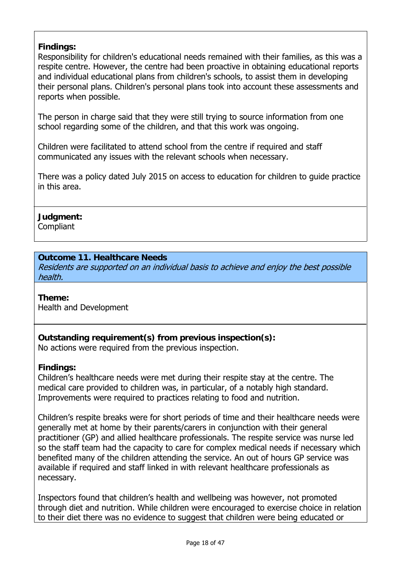## **Findings:**

Responsibility for children's educational needs remained with their families, as this was a respite centre. However, the centre had been proactive in obtaining educational reports and individual educational plans from children's schools, to assist them in developing their personal plans. Children's personal plans took into account these assessments and reports when possible.

The person in charge said that they were still trying to source information from one school regarding some of the children, and that this work was ongoing.

Children were facilitated to attend school from the centre if required and staff communicated any issues with the relevant schools when necessary.

There was a policy dated July 2015 on access to education for children to guide practice in this area.

**Judgment: Compliant** 

## **Outcome 11. Healthcare Needs**

Residents are supported on an individual basis to achieve and enjoy the best possible health.

**Theme:**  Health and Development

**Outstanding requirement(s) from previous inspection(s):**

No actions were required from the previous inspection.

#### **Findings:**

Children's healthcare needs were met during their respite stay at the centre. The medical care provided to children was, in particular, of a notably high standard. Improvements were required to practices relating to food and nutrition.

Children's respite breaks were for short periods of time and their healthcare needs were generally met at home by their parents/carers in conjunction with their general practitioner (GP) and allied healthcare professionals. The respite service was nurse led so the staff team had the capacity to care for complex medical needs if necessary which benefited many of the children attending the service. An out of hours GP service was available if required and staff linked in with relevant healthcare professionals as necessary.

Inspectors found that children's health and wellbeing was however, not promoted through diet and nutrition. While children were encouraged to exercise choice in relation to their diet there was no evidence to suggest that children were being educated or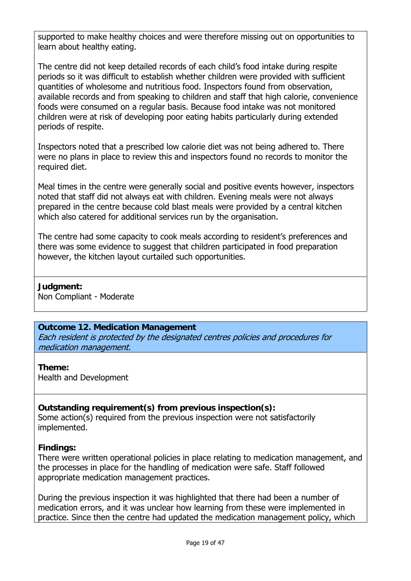supported to make healthy choices and were therefore missing out on opportunities to learn about healthy eating.

The centre did not keep detailed records of each child's food intake during respite periods so it was difficult to establish whether children were provided with sufficient quantities of wholesome and nutritious food. Inspectors found from observation, available records and from speaking to children and staff that high calorie, convenience foods were consumed on a regular basis. Because food intake was not monitored children were at risk of developing poor eating habits particularly during extended periods of respite.

Inspectors noted that a prescribed low calorie diet was not being adhered to. There were no plans in place to review this and inspectors found no records to monitor the required diet.

Meal times in the centre were generally social and positive events however, inspectors noted that staff did not always eat with children. Evening meals were not always prepared in the centre because cold blast meals were provided by a central kitchen which also catered for additional services run by the organisation.

The centre had some capacity to cook meals according to resident's preferences and there was some evidence to suggest that children participated in food preparation however, the kitchen layout curtailed such opportunities.

**Judgment:** Non Compliant - Moderate

#### **Outcome 12. Medication Management**

Each resident is protected by the designated centres policies and procedures for medication management.

#### **Theme:**

Health and Development

#### **Outstanding requirement(s) from previous inspection(s):**

Some action(s) required from the previous inspection were not satisfactorily implemented.

#### **Findings:**

There were written operational policies in place relating to medication management, and the processes in place for the handling of medication were safe. Staff followed appropriate medication management practices.

During the previous inspection it was highlighted that there had been a number of medication errors, and it was unclear how learning from these were implemented in practice. Since then the centre had updated the medication management policy, which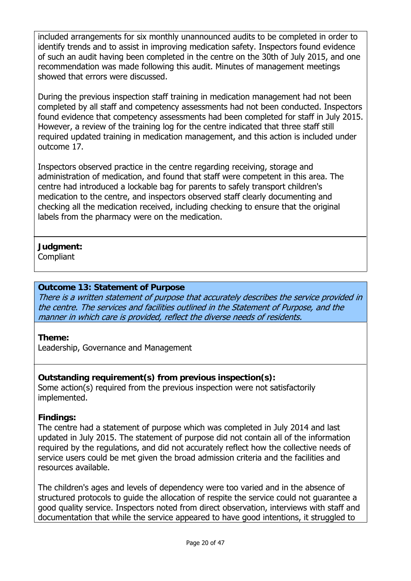included arrangements for six monthly unannounced audits to be completed in order to identify trends and to assist in improving medication safety. Inspectors found evidence of such an audit having been completed in the centre on the 30th of July 2015, and one recommendation was made following this audit. Minutes of management meetings showed that errors were discussed.

During the previous inspection staff training in medication management had not been completed by all staff and competency assessments had not been conducted. Inspectors found evidence that competency assessments had been completed for staff in July 2015. However, a review of the training log for the centre indicated that three staff still required updated training in medication management, and this action is included under outcome 17.

Inspectors observed practice in the centre regarding receiving, storage and administration of medication, and found that staff were competent in this area. The centre had introduced a lockable bag for parents to safely transport children's medication to the centre, and inspectors observed staff clearly documenting and checking all the medication received, including checking to ensure that the original labels from the pharmacy were on the medication.

## **Judgment:**

**Compliant** 

#### **Outcome 13: Statement of Purpose**

There is a written statement of purpose that accurately describes the service provided in the centre. The services and facilities outlined in the Statement of Purpose, and the manner in which care is provided, reflect the diverse needs of residents.

#### **Theme:**

Leadership, Governance and Management

#### **Outstanding requirement(s) from previous inspection(s):**

Some action(s) required from the previous inspection were not satisfactorily implemented.

#### **Findings:**

The centre had a statement of purpose which was completed in July 2014 and last updated in July 2015. The statement of purpose did not contain all of the information required by the regulations, and did not accurately reflect how the collective needs of service users could be met given the broad admission criteria and the facilities and resources available.

The children's ages and levels of dependency were too varied and in the absence of structured protocols to guide the allocation of respite the service could not guarantee a good quality service. Inspectors noted from direct observation, interviews with staff and documentation that while the service appeared to have good intentions, it struggled to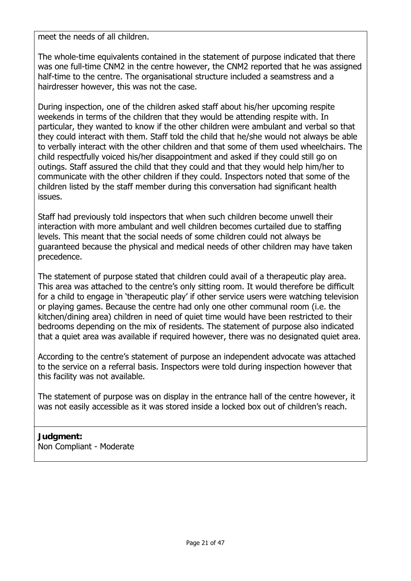meet the needs of all children.

The whole-time equivalents contained in the statement of purpose indicated that there was one full-time CNM2 in the centre however, the CNM2 reported that he was assigned half-time to the centre. The organisational structure included a seamstress and a hairdresser however, this was not the case.

During inspection, one of the children asked staff about his/her upcoming respite weekends in terms of the children that they would be attending respite with. In particular, they wanted to know if the other children were ambulant and verbal so that they could interact with them. Staff told the child that he/she would not always be able to verbally interact with the other children and that some of them used wheelchairs. The child respectfully voiced his/her disappointment and asked if they could still go on outings. Staff assured the child that they could and that they would help him/her to communicate with the other children if they could. Inspectors noted that some of the children listed by the staff member during this conversation had significant health issues.

Staff had previously told inspectors that when such children become unwell their interaction with more ambulant and well children becomes curtailed due to staffing levels. This meant that the social needs of some children could not always be guaranteed because the physical and medical needs of other children may have taken precedence.

The statement of purpose stated that children could avail of a therapeutic play area. This area was attached to the centre's only sitting room. It would therefore be difficult for a child to engage in 'therapeutic play' if other service users were watching television or playing games. Because the centre had only one other communal room (i.e. the kitchen/dining area) children in need of quiet time would have been restricted to their bedrooms depending on the mix of residents. The statement of purpose also indicated that a quiet area was available if required however, there was no designated quiet area.

According to the centre's statement of purpose an independent advocate was attached to the service on a referral basis. Inspectors were told during inspection however that this facility was not available.

The statement of purpose was on display in the entrance hall of the centre however, it was not easily accessible as it was stored inside a locked box out of children's reach.

## **Judgment:**

Non Compliant - Moderate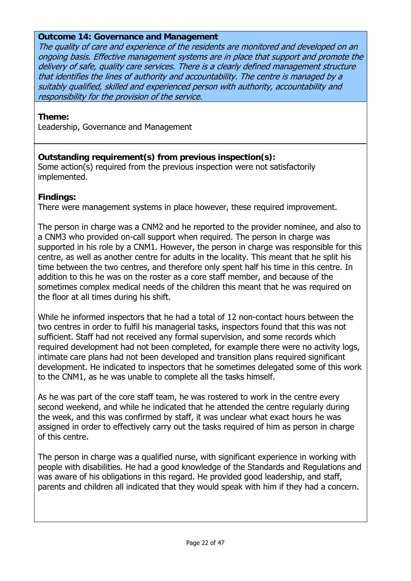#### **Outcome 14: Governance and Management**

The quality of care and experience of the residents are monitored and developed on an ongoing basis. Effective management systems are in place that support and promote the delivery of safe, quality care services. There is a clearly defined management structure that identifies the lines of authority and accountability. The centre is managed by a suitably qualified, skilled and experienced person with authority, accountability and responsibility for the provision of the service.

#### **Theme:**

Leadership, Governance and Management

## **Outstanding requirement(s) from previous inspection(s):**

Some action(s) required from the previous inspection were not satisfactorily implemented.

#### **Findings:**

There were management systems in place however, these required improvement.

The person in charge was a CNM2 and he reported to the provider nominee, and also to a CNM3 who provided on-call support when required. The person in charge was supported in his role by a CNM1. However, the person in charge was responsible for this centre, as well as another centre for adults in the locality. This meant that he split his time between the two centres, and therefore only spent half his time in this centre. In addition to this he was on the roster as a core staff member, and because of the sometimes complex medical needs of the children this meant that he was required on the floor at all times during his shift.

While he informed inspectors that he had a total of 12 non-contact hours between the two centres in order to fulfil his managerial tasks, inspectors found that this was not sufficient. Staff had not received any formal supervision, and some records which required development had not been completed, for example there were no activity logs, intimate care plans had not been developed and transition plans required significant development. He indicated to inspectors that he sometimes delegated some of this work to the CNM1, as he was unable to complete all the tasks himself.

As he was part of the core staff team, he was rostered to work in the centre every second weekend, and while he indicated that he attended the centre regularly during the week, and this was confirmed by staff, it was unclear what exact hours he was assigned in order to effectively carry out the tasks required of him as person in charge of this centre.

The person in charge was a qualified nurse, with significant experience in working with people with disabilities. He had a good knowledge of the Standards and Regulations and was aware of his obligations in this regard. He provided good leadership, and staff, parents and children all indicated that they would speak with him if they had a concern.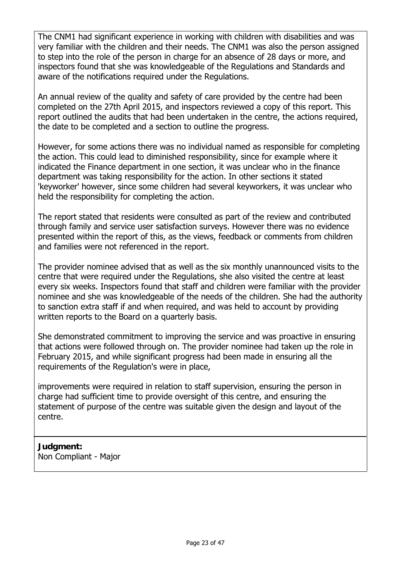The CNM1 had significant experience in working with children with disabilities and was very familiar with the children and their needs. The CNM1 was also the person assigned to step into the role of the person in charge for an absence of 28 days or more, and inspectors found that she was knowledgeable of the Regulations and Standards and aware of the notifications required under the Regulations.

An annual review of the quality and safety of care provided by the centre had been completed on the 27th April 2015, and inspectors reviewed a copy of this report. This report outlined the audits that had been undertaken in the centre, the actions required, the date to be completed and a section to outline the progress.

However, for some actions there was no individual named as responsible for completing the action. This could lead to diminished responsibility, since for example where it indicated the Finance department in one section, it was unclear who in the finance department was taking responsibility for the action. In other sections it stated 'keyworker' however, since some children had several keyworkers, it was unclear who held the responsibility for completing the action.

The report stated that residents were consulted as part of the review and contributed through family and service user satisfaction surveys. However there was no evidence presented within the report of this, as the views, feedback or comments from children and families were not referenced in the report.

The provider nominee advised that as well as the six monthly unannounced visits to the centre that were required under the Regulations, she also visited the centre at least every six weeks. Inspectors found that staff and children were familiar with the provider nominee and she was knowledgeable of the needs of the children. She had the authority to sanction extra staff if and when required, and was held to account by providing written reports to the Board on a quarterly basis.

She demonstrated commitment to improving the service and was proactive in ensuring that actions were followed through on. The provider nominee had taken up the role in February 2015, and while significant progress had been made in ensuring all the requirements of the Regulation's were in place,

improvements were required in relation to staff supervision, ensuring the person in charge had sufficient time to provide oversight of this centre, and ensuring the statement of purpose of the centre was suitable given the design and layout of the centre.

**Judgment:** Non Compliant - Major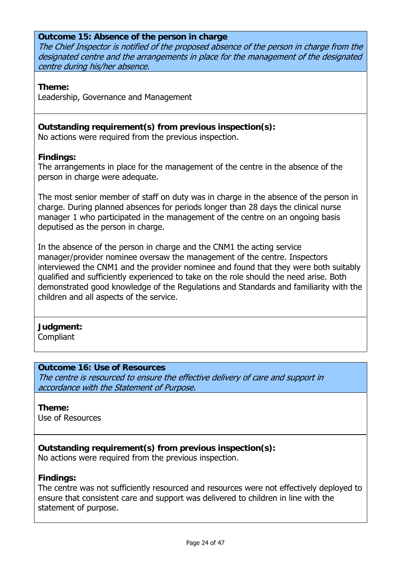#### **Outcome 15: Absence of the person in charge**

The Chief Inspector is notified of the proposed absence of the person in charge from the designated centre and the arrangements in place for the management of the designated centre during his/her absence.

**Theme:** 

Leadership, Governance and Management

## **Outstanding requirement(s) from previous inspection(s):**

No actions were required from the previous inspection.

#### **Findings:**

The arrangements in place for the management of the centre in the absence of the person in charge were adequate.

The most senior member of staff on duty was in charge in the absence of the person in charge. During planned absences for periods longer than 28 days the clinical nurse manager 1 who participated in the management of the centre on an ongoing basis deputised as the person in charge.

In the absence of the person in charge and the CNM1 the acting service manager/provider nominee oversaw the management of the centre. Inspectors interviewed the CNM1 and the provider nominee and found that they were both suitably qualified and sufficiently experienced to take on the role should the need arise. Both demonstrated good knowledge of the Regulations and Standards and familiarity with the children and all aspects of the service.

#### **Judgment:** Compliant

#### **Outcome 16: Use of Resources**

The centre is resourced to ensure the effective delivery of care and support in accordance with the Statement of Purpose.

#### **Theme:**  Use of Resources

#### **Outstanding requirement(s) from previous inspection(s):** No actions were required from the previous inspection.

#### **Findings:**

The centre was not sufficiently resourced and resources were not effectively deployed to ensure that consistent care and support was delivered to children in line with the statement of purpose.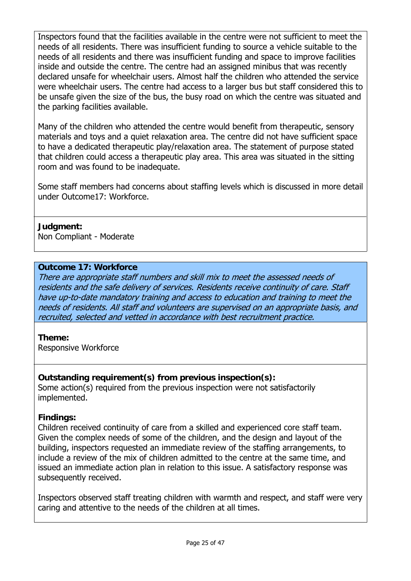Inspectors found that the facilities available in the centre were not sufficient to meet the needs of all residents. There was insufficient funding to source a vehicle suitable to the needs of all residents and there was insufficient funding and space to improve facilities inside and outside the centre. The centre had an assigned minibus that was recently declared unsafe for wheelchair users. Almost half the children who attended the service were wheelchair users. The centre had access to a larger bus but staff considered this to be unsafe given the size of the bus, the busy road on which the centre was situated and the parking facilities available.

Many of the children who attended the centre would benefit from therapeutic, sensory materials and toys and a quiet relaxation area. The centre did not have sufficient space to have a dedicated therapeutic play/relaxation area. The statement of purpose stated that children could access a therapeutic play area. This area was situated in the sitting room and was found to be inadequate.

Some staff members had concerns about staffing levels which is discussed in more detail under Outcome17: Workforce.

## **Judgment:**

Non Compliant - Moderate

#### **Outcome 17: Workforce**

There are appropriate staff numbers and skill mix to meet the assessed needs of residents and the safe delivery of services. Residents receive continuity of care. Staff have up-to-date mandatory training and access to education and training to meet the needs of residents. All staff and volunteers are supervised on an appropriate basis, and recruited, selected and vetted in accordance with best recruitment practice.

#### **Theme:**

Responsive Workforce

#### **Outstanding requirement(s) from previous inspection(s):**

Some action(s) required from the previous inspection were not satisfactorily implemented.

#### **Findings:**

Children received continuity of care from a skilled and experienced core staff team. Given the complex needs of some of the children, and the design and layout of the building, inspectors requested an immediate review of the staffing arrangements, to include a review of the mix of children admitted to the centre at the same time, and issued an immediate action plan in relation to this issue. A satisfactory response was subsequently received.

Inspectors observed staff treating children with warmth and respect, and staff were very caring and attentive to the needs of the children at all times.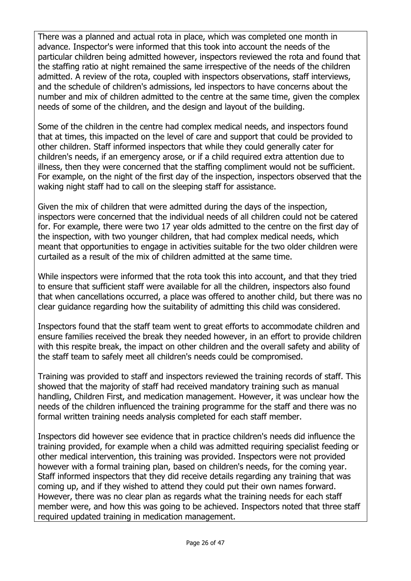There was a planned and actual rota in place, which was completed one month in advance. Inspector's were informed that this took into account the needs of the particular children being admitted however, inspectors reviewed the rota and found that the staffing ratio at night remained the same irrespective of the needs of the children admitted. A review of the rota, coupled with inspectors observations, staff interviews, and the schedule of children's admissions, led inspectors to have concerns about the number and mix of children admitted to the centre at the same time, given the complex needs of some of the children, and the design and layout of the building.

Some of the children in the centre had complex medical needs, and inspectors found that at times, this impacted on the level of care and support that could be provided to other children. Staff informed inspectors that while they could generally cater for children's needs, if an emergency arose, or if a child required extra attention due to illness, then they were concerned that the staffing compliment would not be sufficient. For example, on the night of the first day of the inspection, inspectors observed that the waking night staff had to call on the sleeping staff for assistance.

Given the mix of children that were admitted during the days of the inspection, inspectors were concerned that the individual needs of all children could not be catered for. For example, there were two 17 year olds admitted to the centre on the first day of the inspection, with two younger children, that had complex medical needs, which meant that opportunities to engage in activities suitable for the two older children were curtailed as a result of the mix of children admitted at the same time.

While inspectors were informed that the rota took this into account, and that they tried to ensure that sufficient staff were available for all the children, inspectors also found that when cancellations occurred, a place was offered to another child, but there was no clear guidance regarding how the suitability of admitting this child was considered.

Inspectors found that the staff team went to great efforts to accommodate children and ensure families received the break they needed however, in an effort to provide children with this respite break, the impact on other children and the overall safety and ability of the staff team to safely meet all children's needs could be compromised.

Training was provided to staff and inspectors reviewed the training records of staff. This showed that the majority of staff had received mandatory training such as manual handling, Children First, and medication management. However, it was unclear how the needs of the children influenced the training programme for the staff and there was no formal written training needs analysis completed for each staff member.

Inspectors did however see evidence that in practice children's needs did influence the training provided, for example when a child was admitted requiring specialist feeding or other medical intervention, this training was provided. Inspectors were not provided however with a formal training plan, based on children's needs, for the coming year. Staff informed inspectors that they did receive details regarding any training that was coming up, and if they wished to attend they could put their own names forward. However, there was no clear plan as regards what the training needs for each staff member were, and how this was going to be achieved. Inspectors noted that three staff required updated training in medication management.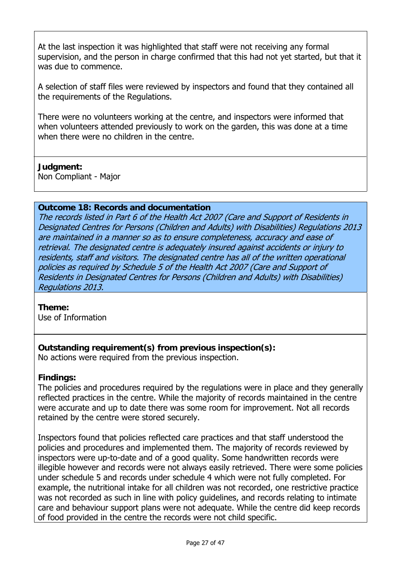At the last inspection it was highlighted that staff were not receiving any formal supervision, and the person in charge confirmed that this had not yet started, but that it was due to commence.

A selection of staff files were reviewed by inspectors and found that they contained all the requirements of the Regulations.

There were no volunteers working at the centre, and inspectors were informed that when volunteers attended previously to work on the garden, this was done at a time when there were no children in the centre.

## **Judgment:**

Non Compliant - Major

## **Outcome 18: Records and documentation**

The records listed in Part 6 of the Health Act 2007 (Care and Support of Residents in Designated Centres for Persons (Children and Adults) with Disabilities) Regulations 2013 are maintained in a manner so as to ensure completeness, accuracy and ease of retrieval. The designated centre is adequately insured against accidents or injury to residents, staff and visitors. The designated centre has all of the written operational policies as required by Schedule 5 of the Health Act 2007 (Care and Support of Residents in Designated Centres for Persons (Children and Adults) with Disabilities) Regulations 2013.

#### **Theme:**

Use of Information

**Outstanding requirement(s) from previous inspection(s):**

No actions were required from the previous inspection.

#### **Findings:**

The policies and procedures required by the regulations were in place and they generally reflected practices in the centre. While the majority of records maintained in the centre were accurate and up to date there was some room for improvement. Not all records retained by the centre were stored securely.

Inspectors found that policies reflected care practices and that staff understood the policies and procedures and implemented them. The majority of records reviewed by inspectors were up-to-date and of a good quality. Some handwritten records were illegible however and records were not always easily retrieved. There were some policies under schedule 5 and records under schedule 4 which were not fully completed. For example, the nutritional intake for all children was not recorded, one restrictive practice was not recorded as such in line with policy guidelines, and records relating to intimate care and behaviour support plans were not adequate. While the centre did keep records of food provided in the centre the records were not child specific.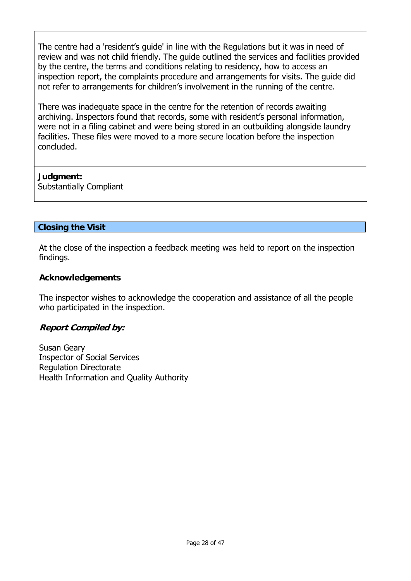The centre had a 'resident's guide' in line with the Regulations but it was in need of review and was not child friendly. The guide outlined the services and facilities provided by the centre, the terms and conditions relating to residency, how to access an inspection report, the complaints procedure and arrangements for visits. The guide did not refer to arrangements for children's involvement in the running of the centre.

There was inadequate space in the centre for the retention of records awaiting archiving. Inspectors found that records, some with resident's personal information, were not in a filing cabinet and were being stored in an outbuilding alongside laundry facilities. These files were moved to a more secure location before the inspection concluded.

## **Judgment:**

Substantially Compliant

## **Closing the Visit**

At the close of the inspection a feedback meeting was held to report on the inspection findings.

## **Acknowledgements**

The inspector wishes to acknowledge the cooperation and assistance of all the people who participated in the inspection.

#### **Report Compiled by:**

Susan Geary Inspector of Social Services Regulation Directorate Health Information and Quality Authority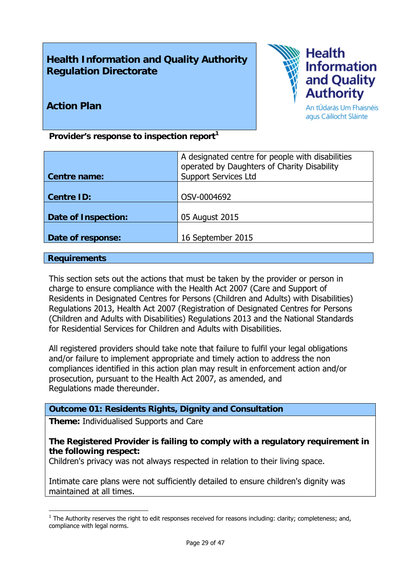## **Health Information and Quality Authority Regulation Directorate**



## **Action Plan**

An tÚdarás Um Fhaisnéis agus Cáilíocht Sláinte

Provider's response to inspection report<sup>1</sup>

|                     | A designated centre for people with disabilities<br>operated by Daughters of Charity Disability |
|---------------------|-------------------------------------------------------------------------------------------------|
| Centre name:        | <b>Support Services Ltd</b>                                                                     |
| <b>Centre ID:</b>   | OSV-0004692                                                                                     |
| Date of Inspection: | 05 August 2015                                                                                  |
| Date of response:   | 16 September 2015                                                                               |

#### **Requirements**

1

This section sets out the actions that must be taken by the provider or person in charge to ensure compliance with the Health Act 2007 (Care and Support of Residents in Designated Centres for Persons (Children and Adults) with Disabilities) Regulations 2013, Health Act 2007 (Registration of Designated Centres for Persons (Children and Adults with Disabilities) Regulations 2013 and the National Standards for Residential Services for Children and Adults with Disabilities.

All registered providers should take note that failure to fulfil your legal obligations and/or failure to implement appropriate and timely action to address the non compliances identified in this action plan may result in enforcement action and/or prosecution, pursuant to the Health Act 2007, as amended, and Regulations made thereunder.

#### **Outcome 01: Residents Rights, Dignity and Consultation**

**Theme:** Individualised Supports and Care

#### **The Registered Provider is failing to comply with a regulatory requirement in the following respect:**

Children's privacy was not always respected in relation to their living space.

Intimate care plans were not sufficiently detailed to ensure children's dignity was maintained at all times.

 $<sup>1</sup>$  The Authority reserves the right to edit responses received for reasons including: clarity; completeness; and,</sup> compliance with legal norms.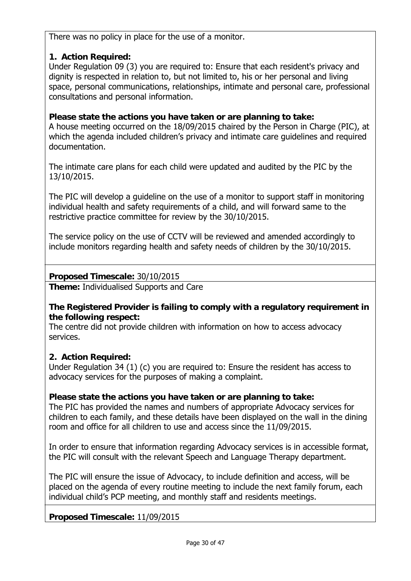There was no policy in place for the use of a monitor.

## **1. Action Required:**

Under Regulation 09 (3) you are required to: Ensure that each resident's privacy and dignity is respected in relation to, but not limited to, his or her personal and living space, personal communications, relationships, intimate and personal care, professional consultations and personal information.

## **Please state the actions you have taken or are planning to take:**

A house meeting occurred on the 18/09/2015 chaired by the Person in Charge (PIC), at which the agenda included children's privacy and intimate care guidelines and required documentation.

The intimate care plans for each child were updated and audited by the PIC by the 13/10/2015.

The PIC will develop a guideline on the use of a monitor to support staff in monitoring individual health and safety requirements of a child, and will forward same to the restrictive practice committee for review by the 30/10/2015.

The service policy on the use of CCTV will be reviewed and amended accordingly to include monitors regarding health and safety needs of children by the 30/10/2015.

## **Proposed Timescale:** 30/10/2015

**Theme:** Individualised Supports and Care

#### **The Registered Provider is failing to comply with a regulatory requirement in the following respect:**

The centre did not provide children with information on how to access advocacy services.

## **2. Action Required:**

Under Regulation 34 (1) (c) you are required to: Ensure the resident has access to advocacy services for the purposes of making a complaint.

## **Please state the actions you have taken or are planning to take:**

The PIC has provided the names and numbers of appropriate Advocacy services for children to each family, and these details have been displayed on the wall in the dining room and office for all children to use and access since the 11/09/2015.

In order to ensure that information regarding Advocacy services is in accessible format, the PIC will consult with the relevant Speech and Language Therapy department.

The PIC will ensure the issue of Advocacy, to include definition and access, will be placed on the agenda of every routine meeting to include the next family forum, each individual child's PCP meeting, and monthly staff and residents meetings.

**Proposed Timescale:** 11/09/2015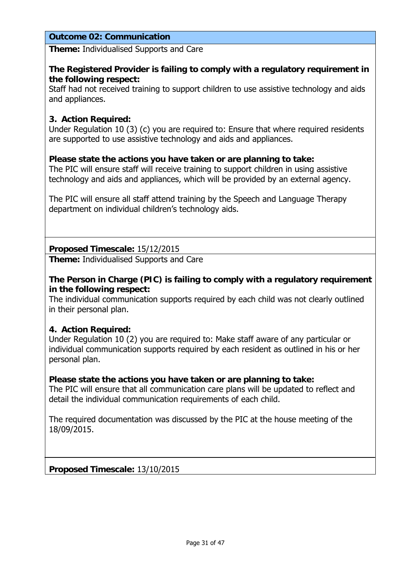#### **Outcome 02: Communication**

**Theme:** Individualised Supports and Care

#### **The Registered Provider is failing to comply with a regulatory requirement in the following respect:**

Staff had not received training to support children to use assistive technology and aids and appliances.

#### **3. Action Required:**

Under Regulation 10 (3) (c) you are required to: Ensure that where required residents are supported to use assistive technology and aids and appliances.

#### **Please state the actions you have taken or are planning to take:**

The PIC will ensure staff will receive training to support children in using assistive technology and aids and appliances, which will be provided by an external agency.

The PIC will ensure all staff attend training by the Speech and Language Therapy department on individual children's technology aids.

**Proposed Timescale:** 15/12/2015

**Theme:** Individualised Supports and Care

#### **The Person in Charge (PIC) is failing to comply with a regulatory requirement in the following respect:**

The individual communication supports required by each child was not clearly outlined in their personal plan.

#### **4. Action Required:**

Under Regulation 10 (2) you are required to: Make staff aware of any particular or individual communication supports required by each resident as outlined in his or her personal plan.

#### **Please state the actions you have taken or are planning to take:**

The PIC will ensure that all communication care plans will be updated to reflect and detail the individual communication requirements of each child.

The required documentation was discussed by the PIC at the house meeting of the 18/09/2015.

**Proposed Timescale:** 13/10/2015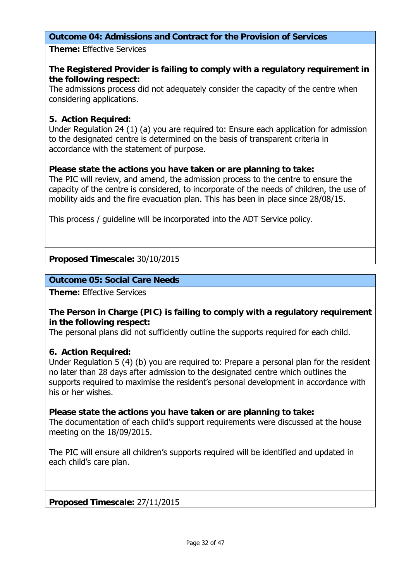## **Outcome 04: Admissions and Contract for the Provision of Services**

**Theme:** Effective Services

#### **The Registered Provider is failing to comply with a regulatory requirement in the following respect:**

The admissions process did not adequately consider the capacity of the centre when considering applications.

#### **5. Action Required:**

Under Regulation 24 (1) (a) you are required to: Ensure each application for admission to the designated centre is determined on the basis of transparent criteria in accordance with the statement of purpose.

#### **Please state the actions you have taken or are planning to take:**

The PIC will review, and amend, the admission process to the centre to ensure the capacity of the centre is considered, to incorporate of the needs of children, the use of mobility aids and the fire evacuation plan. This has been in place since 28/08/15.

This process / guideline will be incorporated into the ADT Service policy.

**Proposed Timescale:** 30/10/2015

#### **Outcome 05: Social Care Needs**

**Theme:** Effective Services

#### **The Person in Charge (PIC) is failing to comply with a regulatory requirement in the following respect:**

The personal plans did not sufficiently outline the supports required for each child.

#### **6. Action Required:**

Under Regulation 5 (4) (b) you are required to: Prepare a personal plan for the resident no later than 28 days after admission to the designated centre which outlines the supports required to maximise the resident's personal development in accordance with his or her wishes.

#### **Please state the actions you have taken or are planning to take:**

The documentation of each child's support requirements were discussed at the house meeting on the 18/09/2015.

The PIC will ensure all children's supports required will be identified and updated in each child's care plan.

**Proposed Timescale:** 27/11/2015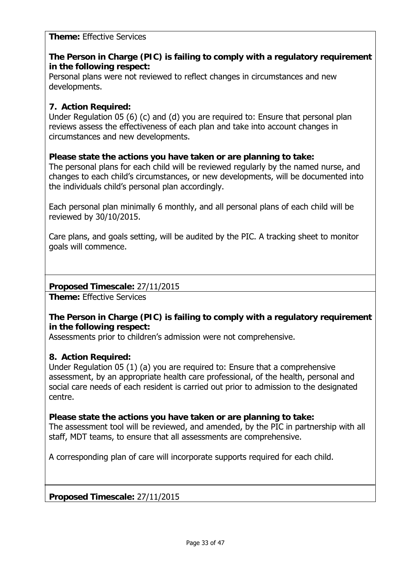**Theme:** Effective Services

## **The Person in Charge (PIC) is failing to comply with a regulatory requirement in the following respect:**

Personal plans were not reviewed to reflect changes in circumstances and new developments.

## **7. Action Required:**

Under Regulation 05 (6) (c) and (d) you are required to: Ensure that personal plan reviews assess the effectiveness of each plan and take into account changes in circumstances and new developments.

#### **Please state the actions you have taken or are planning to take:**

The personal plans for each child will be reviewed regularly by the named nurse, and changes to each child's circumstances, or new developments, will be documented into the individuals child's personal plan accordingly.

Each personal plan minimally 6 monthly, and all personal plans of each child will be reviewed by 30/10/2015.

Care plans, and goals setting, will be audited by the PIC. A tracking sheet to monitor goals will commence.

**Proposed Timescale:** 27/11/2015

**Theme:** Effective Services

#### **The Person in Charge (PIC) is failing to comply with a regulatory requirement in the following respect:**

Assessments prior to children's admission were not comprehensive.

#### **8. Action Required:**

Under Regulation 05 (1) (a) you are required to: Ensure that a comprehensive assessment, by an appropriate health care professional, of the health, personal and social care needs of each resident is carried out prior to admission to the designated centre.

#### **Please state the actions you have taken or are planning to take:**

The assessment tool will be reviewed, and amended, by the PIC in partnership with all staff, MDT teams, to ensure that all assessments are comprehensive.

A corresponding plan of care will incorporate supports required for each child.

**Proposed Timescale:** 27/11/2015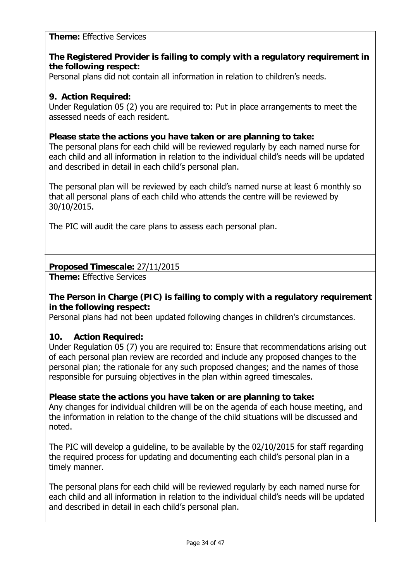#### **Theme:** Effective Services

## **The Registered Provider is failing to comply with a regulatory requirement in the following respect:**

Personal plans did not contain all information in relation to children's needs.

#### **9. Action Required:**

Under Regulation 05 (2) you are required to: Put in place arrangements to meet the assessed needs of each resident.

#### **Please state the actions you have taken or are planning to take:**

The personal plans for each child will be reviewed regularly by each named nurse for each child and all information in relation to the individual child's needs will be updated and described in detail in each child's personal plan.

The personal plan will be reviewed by each child's named nurse at least 6 monthly so that all personal plans of each child who attends the centre will be reviewed by 30/10/2015.

The PIC will audit the care plans to assess each personal plan.

## **Proposed Timescale:** 27/11/2015

**Theme:** Effective Services

#### **The Person in Charge (PIC) is failing to comply with a regulatory requirement in the following respect:**

Personal plans had not been updated following changes in children's circumstances.

## **10. Action Required:**

Under Regulation 05 (7) you are required to: Ensure that recommendations arising out of each personal plan review are recorded and include any proposed changes to the personal plan; the rationale for any such proposed changes; and the names of those responsible for pursuing objectives in the plan within agreed timescales.

#### **Please state the actions you have taken or are planning to take:**

Any changes for individual children will be on the agenda of each house meeting, and the information in relation to the change of the child situations will be discussed and noted.

The PIC will develop a guideline, to be available by the 02/10/2015 for staff regarding the required process for updating and documenting each child's personal plan in a timely manner.

The personal plans for each child will be reviewed regularly by each named nurse for each child and all information in relation to the individual child's needs will be updated and described in detail in each child's personal plan.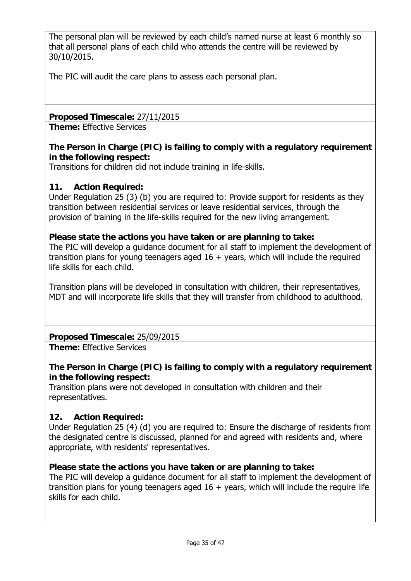The personal plan will be reviewed by each child's named nurse at least 6 monthly so that all personal plans of each child who attends the centre will be reviewed by 30/10/2015.

The PIC will audit the care plans to assess each personal plan.

**Proposed Timescale:** 27/11/2015

**Theme:** Effective Services

## **The Person in Charge (PIC) is failing to comply with a regulatory requirement in the following respect:**

Transitions for children did not include training in life-skills.

## **11. Action Required:**

Under Regulation 25 (3) (b) you are required to: Provide support for residents as they transition between residential services or leave residential services, through the provision of training in the life-skills required for the new living arrangement.

#### **Please state the actions you have taken or are planning to take:**

The PIC will develop a guidance document for all staff to implement the development of transition plans for young teenagers aged  $16 +$  years, which will include the required life skills for each child.

Transition plans will be developed in consultation with children, their representatives, MDT and will incorporate life skills that they will transfer from childhood to adulthood.

## **Proposed Timescale:** 25/09/2015

**Theme:** Effective Services

## **The Person in Charge (PIC) is failing to comply with a regulatory requirement in the following respect:**

Transition plans were not developed in consultation with children and their representatives.

#### **12. Action Required:**

Under Regulation 25 (4) (d) you are required to: Ensure the discharge of residents from the designated centre is discussed, planned for and agreed with residents and, where appropriate, with residents' representatives.

#### **Please state the actions you have taken or are planning to take:**

The PIC will develop a guidance document for all staff to implement the development of transition plans for young teenagers aged  $16 +$  years, which will include the require life skills for each child.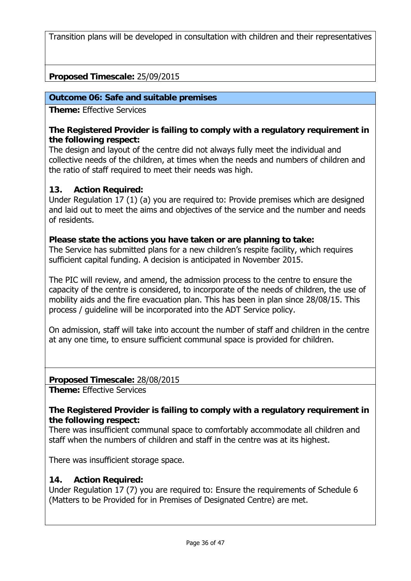Transition plans will be developed in consultation with children and their representatives

## **Proposed Timescale:** 25/09/2015

#### **Outcome 06: Safe and suitable premises**

**Theme:** Effective Services

#### **The Registered Provider is failing to comply with a regulatory requirement in the following respect:**

The design and layout of the centre did not always fully meet the individual and collective needs of the children, at times when the needs and numbers of children and the ratio of staff required to meet their needs was high.

#### **13. Action Required:**

Under Regulation 17 (1) (a) you are required to: Provide premises which are designed and laid out to meet the aims and objectives of the service and the number and needs of residents.

#### **Please state the actions you have taken or are planning to take:**

The Service has submitted plans for a new children's respite facility, which requires sufficient capital funding. A decision is anticipated in November 2015.

The PIC will review, and amend, the admission process to the centre to ensure the capacity of the centre is considered, to incorporate of the needs of children, the use of mobility aids and the fire evacuation plan. This has been in plan since 28/08/15. This process / guideline will be incorporated into the ADT Service policy.

On admission, staff will take into account the number of staff and children in the centre at any one time, to ensure sufficient communal space is provided for children.

#### **Proposed Timescale:** 28/08/2015

**Theme:** Effective Services

#### **The Registered Provider is failing to comply with a regulatory requirement in the following respect:**

There was insufficient communal space to comfortably accommodate all children and staff when the numbers of children and staff in the centre was at its highest.

There was insufficient storage space.

#### **14. Action Required:**

Under Regulation 17 (7) you are required to: Ensure the requirements of Schedule 6 (Matters to be Provided for in Premises of Designated Centre) are met.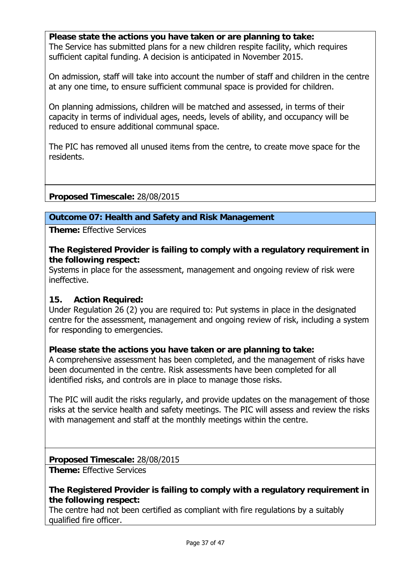**Please state the actions you have taken or are planning to take:**  The Service has submitted plans for a new children respite facility, which requires sufficient capital funding. A decision is anticipated in November 2015.

On admission, staff will take into account the number of staff and children in the centre at any one time, to ensure sufficient communal space is provided for children.

On planning admissions, children will be matched and assessed, in terms of their capacity in terms of individual ages, needs, levels of ability, and occupancy will be reduced to ensure additional communal space.

The PIC has removed all unused items from the centre, to create move space for the residents.

**Proposed Timescale:** 28/08/2015

#### **Outcome 07: Health and Safety and Risk Management**

**Theme:** Effective Services

**The Registered Provider is failing to comply with a regulatory requirement in the following respect:**

Systems in place for the assessment, management and ongoing review of risk were ineffective.

#### **15. Action Required:**

Under Regulation 26 (2) you are required to: Put systems in place in the designated centre for the assessment, management and ongoing review of risk, including a system for responding to emergencies.

#### **Please state the actions you have taken or are planning to take:**

A comprehensive assessment has been completed, and the management of risks have been documented in the centre. Risk assessments have been completed for all identified risks, and controls are in place to manage those risks.

The PIC will audit the risks regularly, and provide updates on the management of those risks at the service health and safety meetings. The PIC will assess and review the risks with management and staff at the monthly meetings within the centre.

**Proposed Timescale:** 28/08/2015

**Theme:** Effective Services

#### **The Registered Provider is failing to comply with a regulatory requirement in the following respect:**

The centre had not been certified as compliant with fire regulations by a suitably qualified fire officer.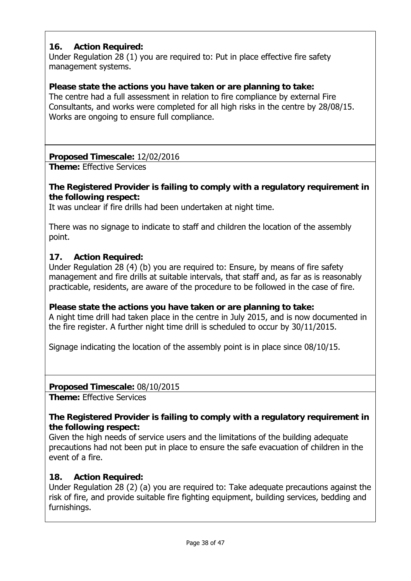## **16. Action Required:**

Under Regulation 28 (1) you are required to: Put in place effective fire safety management systems.

## **Please state the actions you have taken or are planning to take:**

The centre had a full assessment in relation to fire compliance by external Fire Consultants, and works were completed for all high risks in the centre by 28/08/15. Works are ongoing to ensure full compliance.

## **Proposed Timescale:** 12/02/2016

**Theme:** Effective Services

## **The Registered Provider is failing to comply with a regulatory requirement in the following respect:**

It was unclear if fire drills had been undertaken at night time.

There was no signage to indicate to staff and children the location of the assembly point.

#### **17. Action Required:**

Under Regulation 28 (4) (b) you are required to: Ensure, by means of fire safety management and fire drills at suitable intervals, that staff and, as far as is reasonably practicable, residents, are aware of the procedure to be followed in the case of fire.

#### **Please state the actions you have taken or are planning to take:**

A night time drill had taken place in the centre in July 2015, and is now documented in the fire register. A further night time drill is scheduled to occur by 30/11/2015.

Signage indicating the location of the assembly point is in place since 08/10/15.

#### **Proposed Timescale:** 08/10/2015

**Theme:** Effective Services

#### **The Registered Provider is failing to comply with a regulatory requirement in the following respect:**

Given the high needs of service users and the limitations of the building adequate precautions had not been put in place to ensure the safe evacuation of children in the event of a fire.

#### **18. Action Required:**

Under Regulation 28 (2) (a) you are required to: Take adequate precautions against the risk of fire, and provide suitable fire fighting equipment, building services, bedding and furnishings.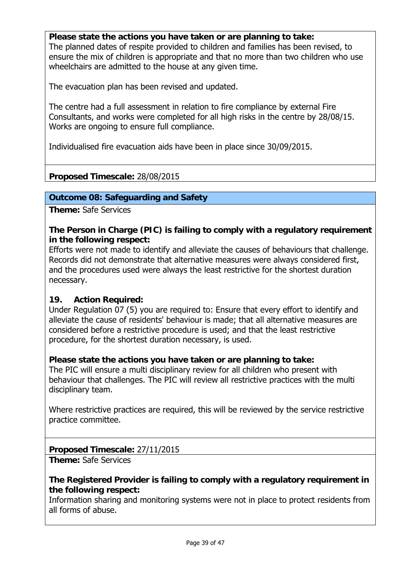**Please state the actions you have taken or are planning to take:**  The planned dates of respite provided to children and families has been revised, to ensure the mix of children is appropriate and that no more than two children who use wheelchairs are admitted to the house at any given time.

The evacuation plan has been revised and updated.

The centre had a full assessment in relation to fire compliance by external Fire Consultants, and works were completed for all high risks in the centre by 28/08/15. Works are ongoing to ensure full compliance.

Individualised fire evacuation aids have been in place since 30/09/2015.

## **Proposed Timescale:** 28/08/2015

#### **Outcome 08: Safeguarding and Safety**

**Theme:** Safe Services

**The Person in Charge (PIC) is failing to comply with a regulatory requirement in the following respect:**

Efforts were not made to identify and alleviate the causes of behaviours that challenge. Records did not demonstrate that alternative measures were always considered first, and the procedures used were always the least restrictive for the shortest duration necessary.

#### **19. Action Required:**

Under Regulation 07 (5) you are required to: Ensure that every effort to identify and alleviate the cause of residents' behaviour is made; that all alternative measures are considered before a restrictive procedure is used; and that the least restrictive procedure, for the shortest duration necessary, is used.

#### **Please state the actions you have taken or are planning to take:**

The PIC will ensure a multi disciplinary review for all children who present with behaviour that challenges. The PIC will review all restrictive practices with the multi disciplinary team.

Where restrictive practices are required, this will be reviewed by the service restrictive practice committee.

#### **Proposed Timescale:** 27/11/2015

**Theme:** Safe Services

#### **The Registered Provider is failing to comply with a regulatory requirement in the following respect:**

Information sharing and monitoring systems were not in place to protect residents from all forms of abuse.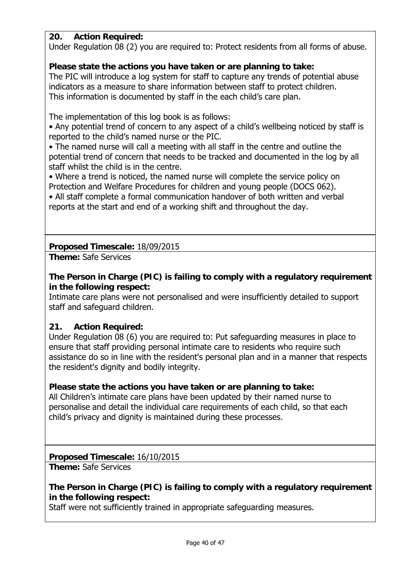#### **20. Action Required:**

Under Regulation 08 (2) you are required to: Protect residents from all forms of abuse.

## **Please state the actions you have taken or are planning to take:**

The PIC will introduce a log system for staff to capture any trends of potential abuse indicators as a measure to share information between staff to protect children. This information is documented by staff in the each child's care plan.

The implementation of this log book is as follows:

• Any potential trend of concern to any aspect of a child's wellbeing noticed by staff is reported to the child's named nurse or the PIC.

• The named nurse will call a meeting with all staff in the centre and outline the potential trend of concern that needs to be tracked and documented in the log by all staff whilst the child is in the centre.

• Where a trend is noticed, the named nurse will complete the service policy on Protection and Welfare Procedures for children and young people (DOCS 062).

• All staff complete a formal communication handover of both written and verbal reports at the start and end of a working shift and throughout the day.

## **Proposed Timescale:** 18/09/2015

**Theme:** Safe Services

**The Person in Charge (PIC) is failing to comply with a regulatory requirement in the following respect:**

Intimate care plans were not personalised and were insufficiently detailed to support staff and safeguard children.

#### **21. Action Required:**

Under Regulation 08 (6) you are required to: Put safeguarding measures in place to ensure that staff providing personal intimate care to residents who require such assistance do so in line with the resident's personal plan and in a manner that respects the resident's dignity and bodily integrity.

#### **Please state the actions you have taken or are planning to take:**

All Children's intimate care plans have been updated by their named nurse to personalise and detail the individual care requirements of each child, so that each child's privacy and dignity is maintained during these processes.

#### **Proposed Timescale:** 16/10/2015

**Theme:** Safe Services

## **The Person in Charge (PIC) is failing to comply with a regulatory requirement in the following respect:**

Staff were not sufficiently trained in appropriate safeguarding measures.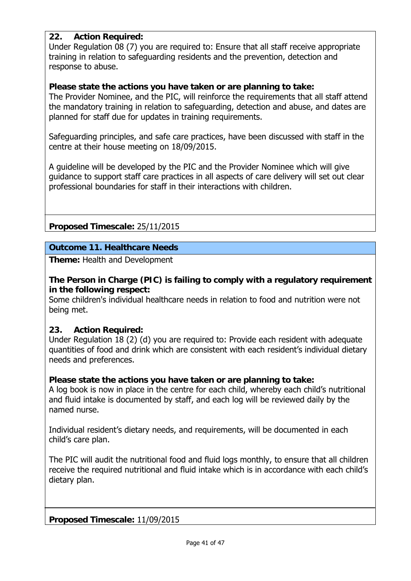## **22. Action Required:**

Under Regulation 08 (7) you are required to: Ensure that all staff receive appropriate training in relation to safeguarding residents and the prevention, detection and response to abuse.

#### **Please state the actions you have taken or are planning to take:**

The Provider Nominee, and the PIC, will reinforce the requirements that all staff attend the mandatory training in relation to safeguarding, detection and abuse, and dates are planned for staff due for updates in training requirements.

Safeguarding principles, and safe care practices, have been discussed with staff in the centre at their house meeting on 18/09/2015.

A guideline will be developed by the PIC and the Provider Nominee which will give guidance to support staff care practices in all aspects of care delivery will set out clear professional boundaries for staff in their interactions with children.

## **Proposed Timescale:** 25/11/2015

#### **Outcome 11. Healthcare Needs**

**Theme:** Health and Development

#### **The Person in Charge (PIC) is failing to comply with a regulatory requirement in the following respect:**

Some children's individual healthcare needs in relation to food and nutrition were not being met.

#### **23. Action Required:**

Under Regulation 18 (2) (d) you are required to: Provide each resident with adequate quantities of food and drink which are consistent with each resident's individual dietary needs and preferences.

#### **Please state the actions you have taken or are planning to take:**

A log book is now in place in the centre for each child, whereby each child's nutritional and fluid intake is documented by staff, and each log will be reviewed daily by the named nurse.

Individual resident's dietary needs, and requirements, will be documented in each child's care plan.

The PIC will audit the nutritional food and fluid logs monthly, to ensure that all children receive the required nutritional and fluid intake which is in accordance with each child's dietary plan.

**Proposed Timescale:** 11/09/2015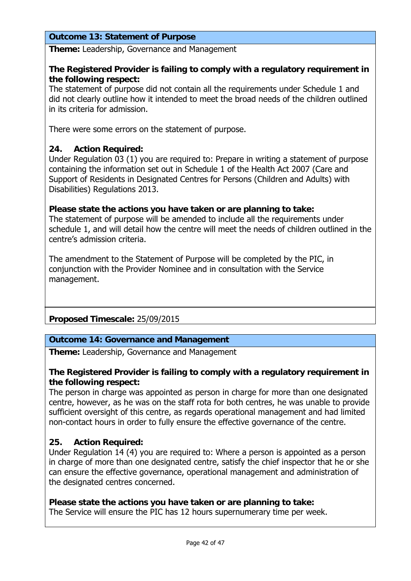#### **Outcome 13: Statement of Purpose**

**Theme:** Leadership, Governance and Management

#### **The Registered Provider is failing to comply with a regulatory requirement in the following respect:**

The statement of purpose did not contain all the requirements under Schedule 1 and did not clearly outline how it intended to meet the broad needs of the children outlined in its criteria for admission.

There were some errors on the statement of purpose.

#### **24. Action Required:**

Under Regulation 03 (1) you are required to: Prepare in writing a statement of purpose containing the information set out in Schedule 1 of the Health Act 2007 (Care and Support of Residents in Designated Centres for Persons (Children and Adults) with Disabilities) Regulations 2013.

#### **Please state the actions you have taken or are planning to take:**

The statement of purpose will be amended to include all the requirements under schedule 1, and will detail how the centre will meet the needs of children outlined in the centre's admission criteria.

The amendment to the Statement of Purpose will be completed by the PIC, in conjunction with the Provider Nominee and in consultation with the Service management.

#### **Proposed Timescale:** 25/09/2015

#### **Outcome 14: Governance and Management**

**Theme:** Leadership, Governance and Management

#### **The Registered Provider is failing to comply with a regulatory requirement in the following respect:**

The person in charge was appointed as person in charge for more than one designated centre, however, as he was on the staff rota for both centres, he was unable to provide sufficient oversight of this centre, as regards operational management and had limited non-contact hours in order to fully ensure the effective governance of the centre.

#### **25. Action Required:**

Under Regulation 14 (4) you are required to: Where a person is appointed as a person in charge of more than one designated centre, satisfy the chief inspector that he or she can ensure the effective governance, operational management and administration of the designated centres concerned.

#### **Please state the actions you have taken or are planning to take:**

The Service will ensure the PIC has 12 hours supernumerary time per week.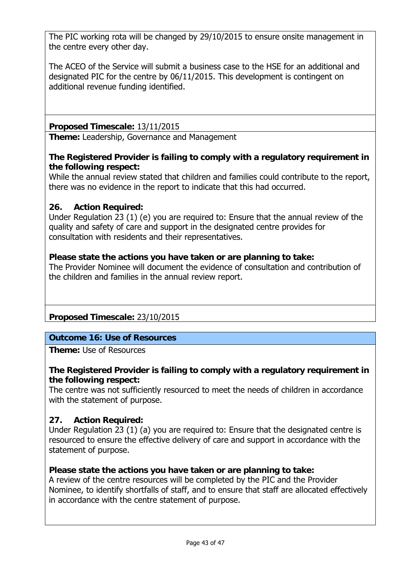The PIC working rota will be changed by 29/10/2015 to ensure onsite management in the centre every other day.

The ACEO of the Service will submit a business case to the HSE for an additional and designated PIC for the centre by 06/11/2015. This development is contingent on additional revenue funding identified.

**Proposed Timescale:** 13/11/2015

**Theme:** Leadership, Governance and Management

## **The Registered Provider is failing to comply with a regulatory requirement in the following respect:**

While the annual review stated that children and families could contribute to the report, there was no evidence in the report to indicate that this had occurred.

## **26. Action Required:**

Under Regulation 23 (1) (e) you are required to: Ensure that the annual review of the quality and safety of care and support in the designated centre provides for consultation with residents and their representatives.

#### **Please state the actions you have taken or are planning to take:**

The Provider Nominee will document the evidence of consultation and contribution of the children and families in the annual review report.

**Proposed Timescale:** 23/10/2015

## **Outcome 16: Use of Resources**

**Theme:** Use of Resources

#### **The Registered Provider is failing to comply with a regulatory requirement in the following respect:**

The centre was not sufficiently resourced to meet the needs of children in accordance with the statement of purpose.

#### **27. Action Required:**

Under Regulation 23 (1) (a) you are required to: Ensure that the designated centre is resourced to ensure the effective delivery of care and support in accordance with the statement of purpose.

#### **Please state the actions you have taken or are planning to take:**

A review of the centre resources will be completed by the PIC and the Provider Nominee, to identify shortfalls of staff, and to ensure that staff are allocated effectively in accordance with the centre statement of purpose.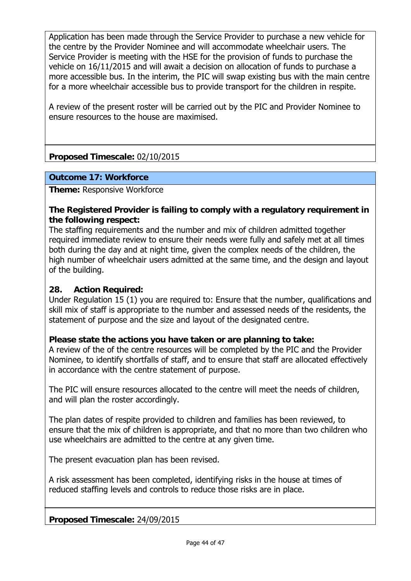Application has been made through the Service Provider to purchase a new vehicle for the centre by the Provider Nominee and will accommodate wheelchair users. The Service Provider is meeting with the HSE for the provision of funds to purchase the vehicle on 16/11/2015 and will await a decision on allocation of funds to purchase a more accessible bus. In the interim, the PIC will swap existing bus with the main centre for a more wheelchair accessible bus to provide transport for the children in respite.

A review of the present roster will be carried out by the PIC and Provider Nominee to ensure resources to the house are maximised.

## **Proposed Timescale:** 02/10/2015

#### **Outcome 17: Workforce**

**Theme:** Responsive Workforce

#### **The Registered Provider is failing to comply with a regulatory requirement in the following respect:**

The staffing requirements and the number and mix of children admitted together required immediate review to ensure their needs were fully and safely met at all times both during the day and at night time, given the complex needs of the children, the high number of wheelchair users admitted at the same time, and the design and layout of the building.

#### **28. Action Required:**

Under Regulation 15 (1) you are required to: Ensure that the number, qualifications and skill mix of staff is appropriate to the number and assessed needs of the residents, the statement of purpose and the size and layout of the designated centre.

#### **Please state the actions you have taken or are planning to take:**

A review of the of the centre resources will be completed by the PIC and the Provider Nominee, to identify shortfalls of staff, and to ensure that staff are allocated effectively in accordance with the centre statement of purpose.

The PIC will ensure resources allocated to the centre will meet the needs of children, and will plan the roster accordingly.

The plan dates of respite provided to children and families has been reviewed, to ensure that the mix of children is appropriate, and that no more than two children who use wheelchairs are admitted to the centre at any given time.

The present evacuation plan has been revised.

A risk assessment has been completed, identifying risks in the house at times of reduced staffing levels and controls to reduce those risks are in place.

**Proposed Timescale:** 24/09/2015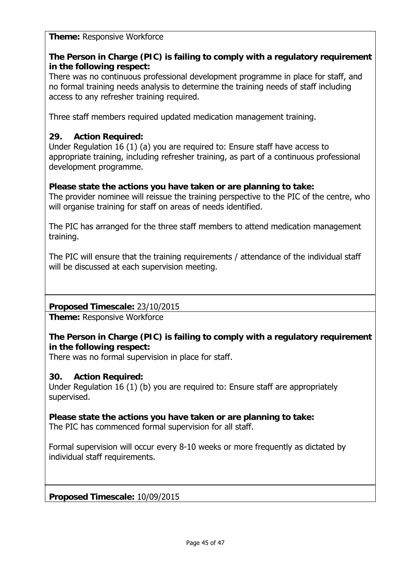**Theme:** Responsive Workforce

## **The Person in Charge (PIC) is failing to comply with a regulatory requirement in the following respect:**

There was no continuous professional development programme in place for staff, and no formal training needs analysis to determine the training needs of staff including access to any refresher training required.

Three staff members required updated medication management training.

## **29. Action Required:**

Under Regulation 16 (1) (a) you are required to: Ensure staff have access to appropriate training, including refresher training, as part of a continuous professional development programme.

#### **Please state the actions you have taken or are planning to take:**

The provider nominee will reissue the training perspective to the PIC of the centre, who will organise training for staff on areas of needs identified.

The PIC has arranged for the three staff members to attend medication management training.

The PIC will ensure that the training requirements / attendance of the individual staff will be discussed at each supervision meeting.

#### **Proposed Timescale:** 23/10/2015

**Theme:** Responsive Workforce

## **The Person in Charge (PIC) is failing to comply with a regulatory requirement in the following respect:**

There was no formal supervision in place for staff.

#### **30. Action Required:**

Under Regulation 16 (1) (b) you are required to: Ensure staff are appropriately supervised.

**Please state the actions you have taken or are planning to take:**  The PIC has commenced formal supervision for all staff.

Formal supervision will occur every 8-10 weeks or more frequently as dictated by individual staff requirements.

**Proposed Timescale:** 10/09/2015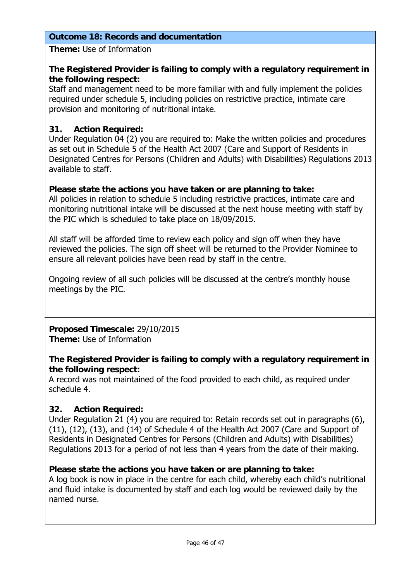#### **Outcome 18: Records and documentation**

**Theme:** Use of Information

#### **The Registered Provider is failing to comply with a regulatory requirement in the following respect:**

Staff and management need to be more familiar with and fully implement the policies required under schedule 5, including policies on restrictive practice, intimate care provision and monitoring of nutritional intake.

## **31. Action Required:**

Under Regulation 04 (2) you are required to: Make the written policies and procedures as set out in Schedule 5 of the Health Act 2007 (Care and Support of Residents in Designated Centres for Persons (Children and Adults) with Disabilities) Regulations 2013 available to staff.

#### **Please state the actions you have taken or are planning to take:**

All policies in relation to schedule 5 including restrictive practices, intimate care and monitoring nutritional intake will be discussed at the next house meeting with staff by the PIC which is scheduled to take place on 18/09/2015.

All staff will be afforded time to review each policy and sign off when they have reviewed the policies. The sign off sheet will be returned to the Provider Nominee to ensure all relevant policies have been read by staff in the centre.

Ongoing review of all such policies will be discussed at the centre's monthly house meetings by the PIC.

**Proposed Timescale:** 29/10/2015

**Theme:** Use of Information

## **The Registered Provider is failing to comply with a regulatory requirement in the following respect:**

A record was not maintained of the food provided to each child, as required under schedule 4.

#### **32. Action Required:**

Under Regulation 21 (4) you are required to: Retain records set out in paragraphs (6), (11), (12), (13), and (14) of Schedule 4 of the Health Act 2007 (Care and Support of Residents in Designated Centres for Persons (Children and Adults) with Disabilities) Regulations 2013 for a period of not less than 4 years from the date of their making.

#### **Please state the actions you have taken or are planning to take:**

A log book is now in place in the centre for each child, whereby each child's nutritional and fluid intake is documented by staff and each log would be reviewed daily by the named nurse.